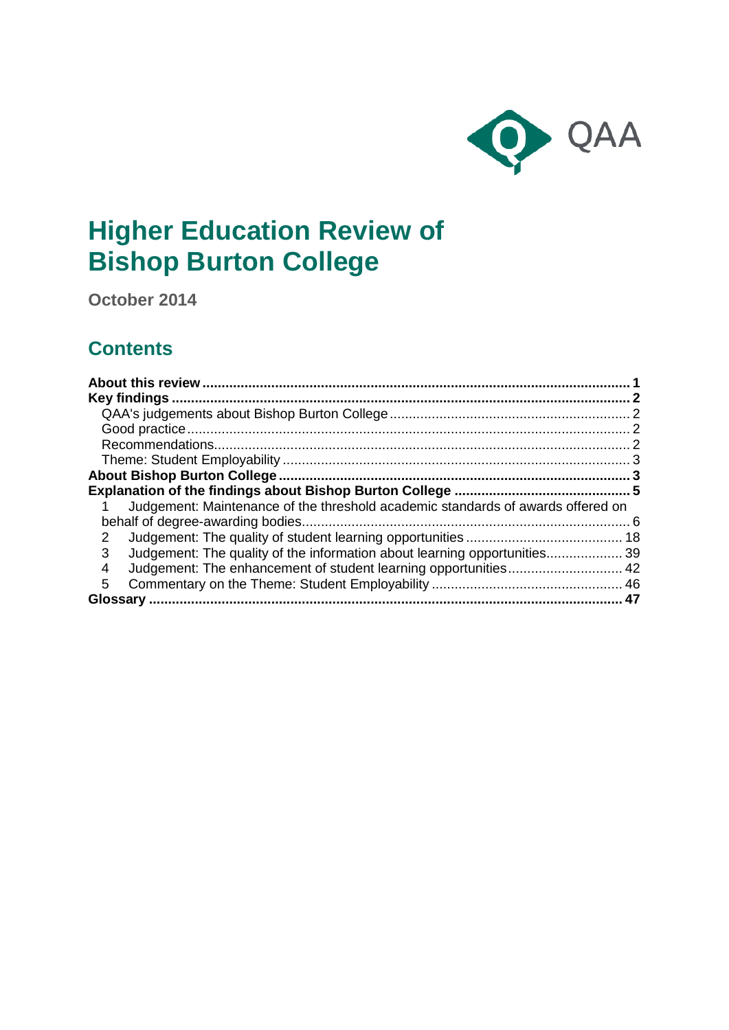

# **Higher Education Review of Bishop Burton College**

**October 2014**

## **Contents**

| Judgement: Maintenance of the threshold academic standards of awards offered on |
|---------------------------------------------------------------------------------|
|                                                                                 |
| 2                                                                               |
| Judgement: The quality of the information about learning opportunities 39<br>3  |
| 4                                                                               |
| 5                                                                               |
|                                                                                 |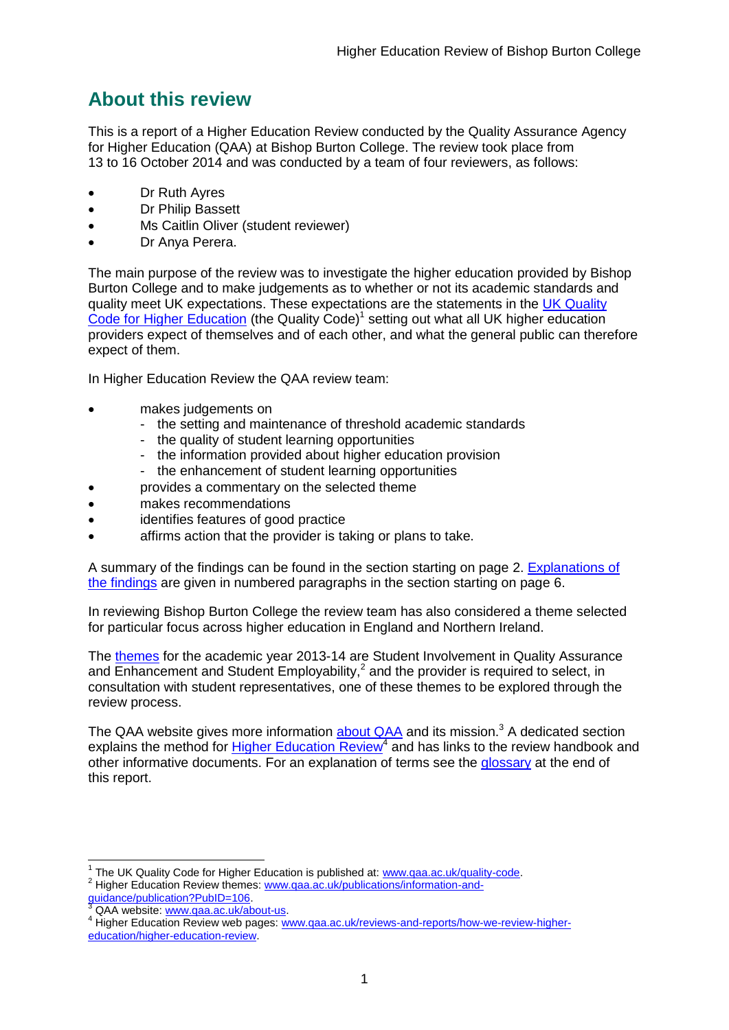## <span id="page-1-0"></span>**About this review**

This is a report of a Higher Education Review conducted by the Quality Assurance Agency for Higher Education (QAA) at Bishop Burton College. The review took place from 13 to 16 October 2014 and was conducted by a team of four reviewers, as follows:

- Dr Ruth Ayres
- Dr Philip Bassett
- Ms Caitlin Oliver (student reviewer)
- Dr Anya Perera.

The main purpose of the review was to investigate the higher education provided by Bishop Burton College and to make judgements as to whether or not its academic standards and quality meet UK expectations. These expectations are the statements in the [UK Quality](http://www.qaa.ac.uk/assuring-standards-and-quality/the-quality-code)  [Code for Higher Education](http://www.qaa.ac.uk/assuring-standards-and-quality/the-quality-code) (the Quality Code)<sup>1</sup> setting out what all UK higher education [providers](http://newlive.qaa.ac.uk/AboutUs/glossary/Pages/glossary-h.aspx#h2.1) expect of themselves and of each other, and what the general public can therefore expect of them.

In Higher Education Review the QAA review team:

- makes judgements on
	- the setting and maintenance of threshold academic standards
	- the quality of student learning opportunities
	- the information provided about higher education provision
	- the enhancement of student learning opportunities
	- provides a commentary on the selected theme
- makes recommendations
- identifies features of good practice
- affirms action that the provider is taking or plans to take.

A summary of the findings can be found in the section starting on page 2. Explanations of [the findings](#page-5-0) are given in numbered paragraphs in the section starting on page 6.

In reviewing Bishop Burton College the review team has also considered a theme selected for particular focus across higher education in England and Northern Ireland.

The [themes](http://www.qaa.ac.uk/publications/information-and-guidance/publication?PubID=106) for the academic year 2013-14 are Student Involvement in Quality Assurance and Enhancement and Student Employability, $^2$  and the provider is required to select, in consultation with student representatives, one of these themes to be explored through the review process.

The QAA website gives more information [about QAA](http://www.qaa.ac.uk/aboutus/pages/default.aspx) and its mission.<sup>3</sup> A dedicated section explains the method for **Higher Education Review<sup>4</sup>** and has links to the review handbook and other informative documents. For an explanation of terms see the [glossary](#page-46-1) at the end of this report.

 1 The UK Quality Code for Higher Education is published at: [www.qaa.ac.uk/quality-code.](http://www.qaa.ac.uk/quality-code) <sup>2</sup> Higher Education Review themes: [www.qaa.ac.uk/publications/information-and-](http://www.qaa.ac.uk/publications/information-and-guidance/publication?PubID=106)

- [guidance/publication?PubID=106.](http://www.qaa.ac.uk/publications/information-and-guidance/publication?PubID=106)
- <sup>3</sup> QAA website: [www.qaa.ac.uk/about-us.](http://www.qaa.ac.uk/about-us)

<sup>4</sup> Higher Education Review web pages: [www.qaa.ac.uk/reviews-and-reports/how-we-review-higher](http://www.qaa.ac.uk/reviews-and-reports/how-we-review-higher-education/higher-education-review)[education/higher-education-review.](http://www.qaa.ac.uk/reviews-and-reports/how-we-review-higher-education/higher-education-review)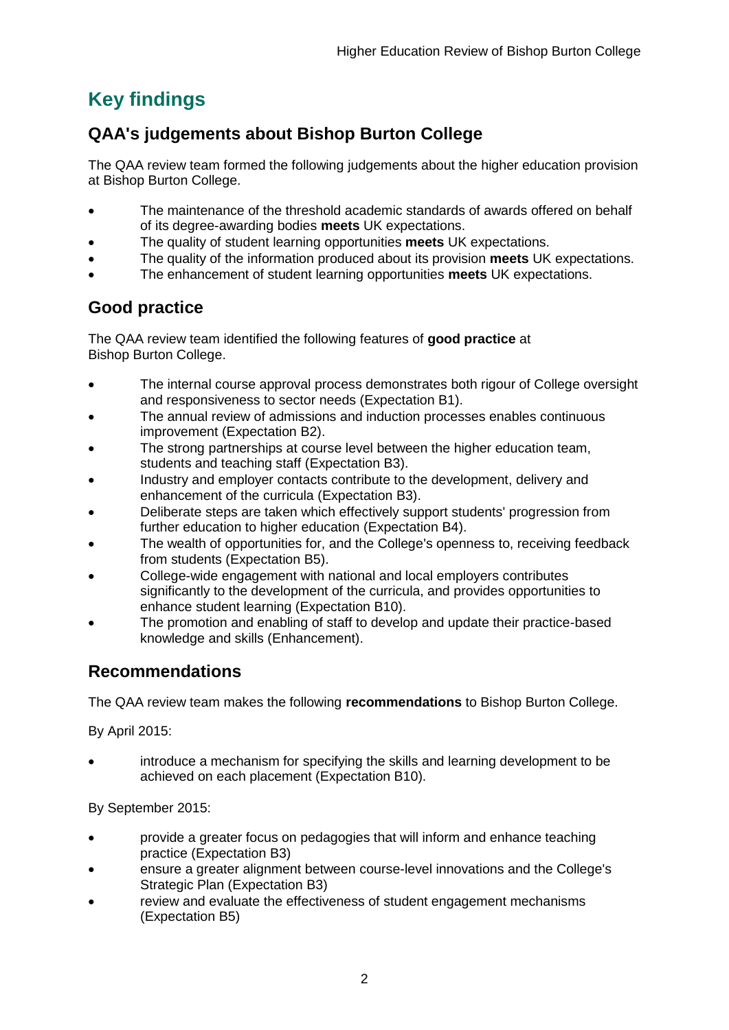## <span id="page-2-0"></span>**Key findings**

## <span id="page-2-1"></span>**QAA's judgements about Bishop Burton College**

The QAA review team formed the following judgements about the higher education provision at Bishop Burton College.

- The maintenance of the threshold academic standards of awards offered on behalf of its degree-awarding bodies **meets** UK expectations.
- The quality of student learning opportunities **meets** UK expectations.
- The quality of the information produced about its provision **meets** UK expectations.
- The enhancement of student learning opportunities **meets** UK expectations.

## <span id="page-2-2"></span>**Good practice**

The QAA review team identified the following features of **good practice** at Bishop Burton College.

- The internal course approval process demonstrates both rigour of College oversight and responsiveness to sector needs (Expectation B1).
- The annual review of admissions and induction processes enables continuous improvement (Expectation B2).
- The strong partnerships at course level between the higher education team, students and teaching staff (Expectation B3).
- Industry and employer contacts contribute to the development, delivery and enhancement of the curricula (Expectation B3).
- Deliberate steps are taken which effectively support students' progression from further education to higher education (Expectation B4).
- The wealth of opportunities for, and the College's openness to, receiving feedback from students (Expectation B5).
- College-wide engagement with national and local employers contributes significantly to the development of the curricula, and provides opportunities to enhance student learning (Expectation B10).
- The promotion and enabling of staff to develop and update their practice-based knowledge and skills (Enhancement).

## <span id="page-2-3"></span>**Recommendations**

The QAA review team makes the following **recommendations** to Bishop Burton College.

By April 2015:

 introduce a mechanism for specifying the skills and learning development to be achieved on each placement (Expectation B10).

By September 2015:

- provide a greater focus on pedagogies that will inform and enhance teaching practice (Expectation B3)
- ensure a greater alignment between course-level innovations and the College's Strategic Plan (Expectation B3)
- review and evaluate the effectiveness of student engagement mechanisms (Expectation B5)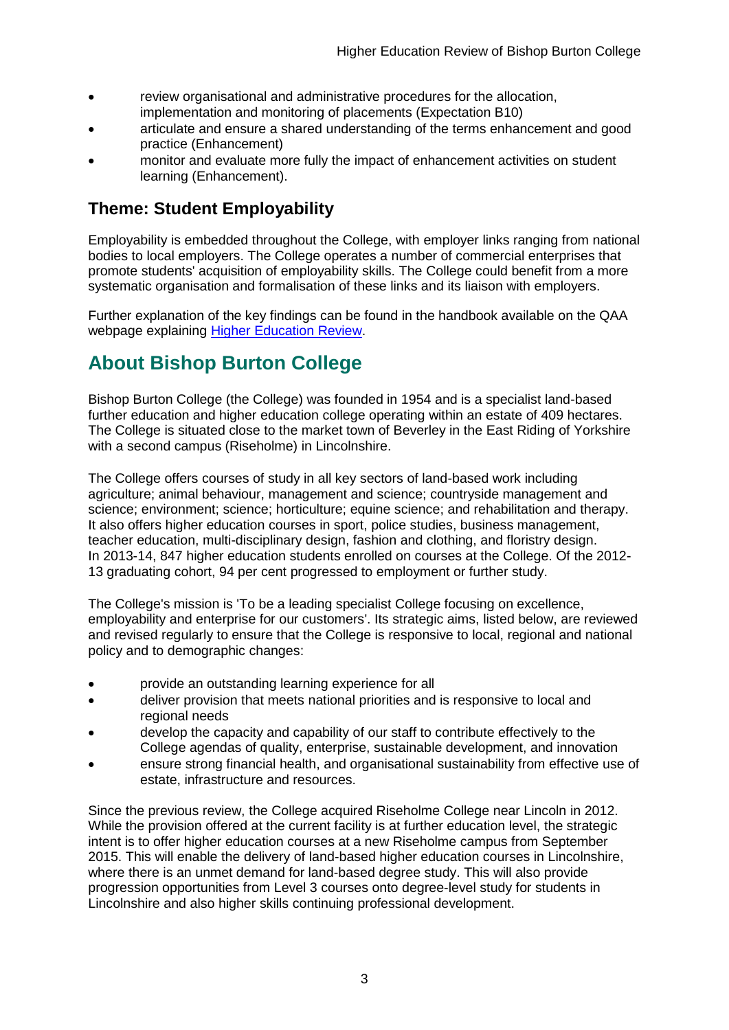- review organisational and administrative procedures for the allocation, implementation and monitoring of placements (Expectation B10)
- articulate and ensure a shared understanding of the terms enhancement and good practice (Enhancement)
- monitor and evaluate more fully the impact of enhancement activities on student learning (Enhancement).

## <span id="page-3-0"></span>**Theme: Student Employability**

Employability is embedded throughout the College, with employer links ranging from national bodies to local employers. The College operates a number of commercial enterprises that promote students' acquisition of employability skills. The College could benefit from a more systematic organisation and formalisation of these links and its liaison with employers.

Further explanation of the key findings can be found in the handbook available on the QAA webpage explaining [Higher Education Review.](http://www.qaa.ac.uk/reviews-and-reports/how-we-review-higher-education/higher-education-review)

## <span id="page-3-1"></span>**About Bishop Burton College**

Bishop Burton College (the College) was founded in 1954 and is a specialist land-based further education and higher education college operating within an estate of 409 hectares. The College is situated close to the market town of Beverley in the East Riding of Yorkshire with a second campus (Riseholme) in Lincolnshire.

The College offers courses of study in all key sectors of land-based work including agriculture; animal behaviour, management and science; countryside management and science; environment; science; horticulture; equine science; and rehabilitation and therapy. It also offers higher education courses in sport, police studies, business management, teacher education, multi-disciplinary design, fashion and clothing, and floristry design. In 2013-14, 847 higher education students enrolled on courses at the College. Of the 2012- 13 graduating cohort, 94 per cent progressed to employment or further study.

The College's mission is 'To be a leading specialist College focusing on excellence, employability and enterprise for our customers'. Its strategic aims, listed below, are reviewed and revised regularly to ensure that the College is responsive to local, regional and national policy and to demographic changes:

- provide an outstanding learning experience for all
- deliver provision that meets national priorities and is responsive to local and regional needs
- develop the capacity and capability of our staff to contribute effectively to the College agendas of quality, enterprise, sustainable development, and innovation
- ensure strong financial health, and organisational sustainability from effective use of estate, infrastructure and resources.

Since the previous review, the College acquired Riseholme College near Lincoln in 2012. While the provision offered at the current facility is at further education level, the strategic intent is to offer higher education courses at a new Riseholme campus from September 2015. This will enable the delivery of land-based higher education courses in Lincolnshire, where there is an unmet demand for land-based degree study. This will also provide progression opportunities from Level 3 courses onto degree-level study for students in Lincolnshire and also higher skills continuing professional development.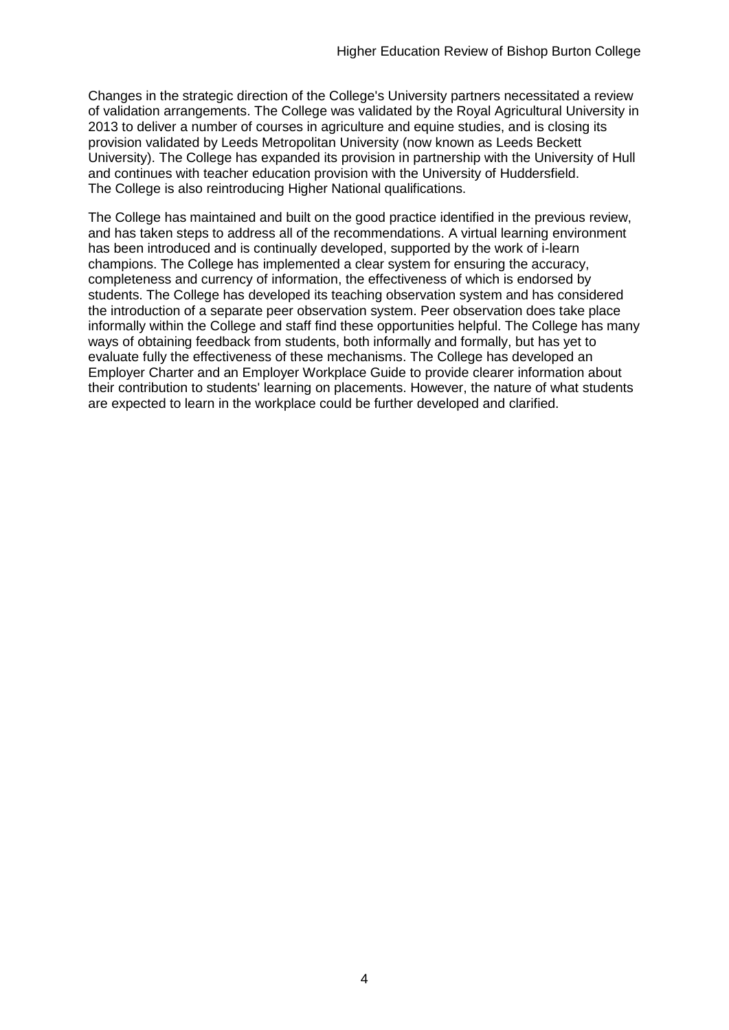Changes in the strategic direction of the College's University partners necessitated a review of validation arrangements. The College was validated by the Royal Agricultural University in 2013 to deliver a number of courses in agriculture and equine studies, and is closing its provision validated by Leeds Metropolitan University (now known as Leeds Beckett University). The College has expanded its provision in partnership with the University of Hull and continues with teacher education provision with the University of Huddersfield. The College is also reintroducing Higher National qualifications.

The College has maintained and built on the good practice identified in the previous review, and has taken steps to address all of the recommendations. A virtual learning environment has been introduced and is continually developed, supported by the work of i-learn champions. The College has implemented a clear system for ensuring the accuracy, completeness and currency of information, the effectiveness of which is endorsed by students. The College has developed its teaching observation system and has considered the introduction of a separate peer observation system. Peer observation does take place informally within the College and staff find these opportunities helpful. The College has many ways of obtaining feedback from students, both informally and formally, but has yet to evaluate fully the effectiveness of these mechanisms. The College has developed an Employer Charter and an Employer Workplace Guide to provide clearer information about their contribution to students' learning on placements. However, the nature of what students are expected to learn in the workplace could be further developed and clarified.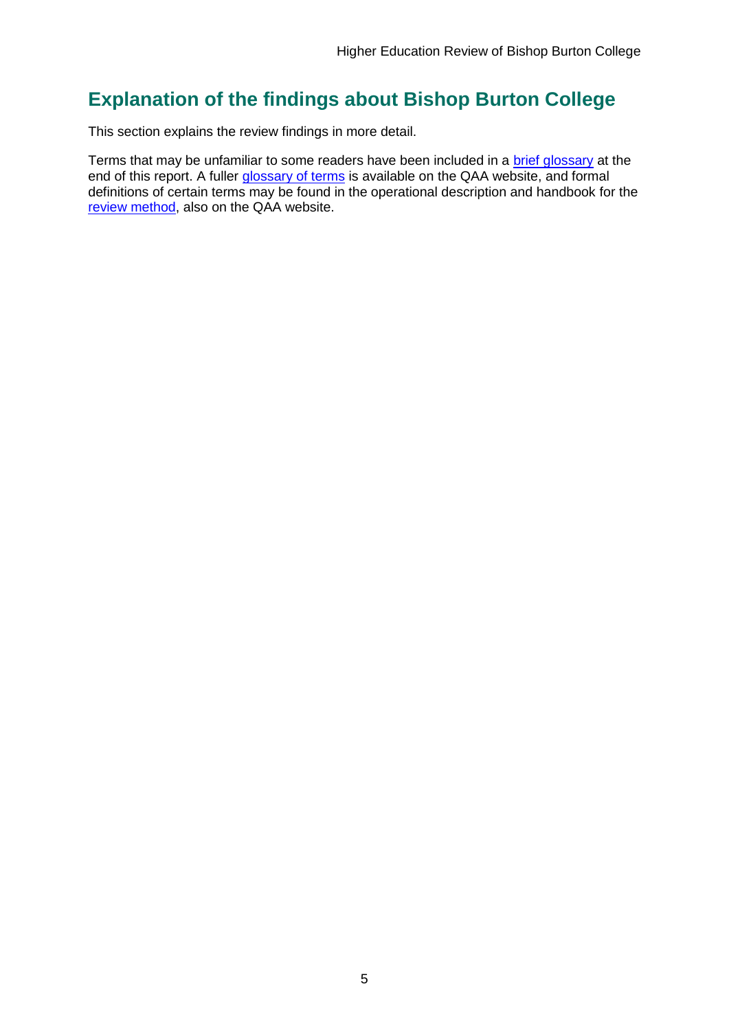## <span id="page-5-0"></span>**Explanation of the findings about Bishop Burton College**

This section explains the review findings in more detail.

Terms that may be unfamiliar to some readers have been included in a [brief glossary](#page-46-1) at the end of this report. A fuller [glossary of terms](http://www.qaa.ac.uk/Pages/GlossaryEN.aspx) is available on the QAA website, and formal definitions of certain terms may be found in the operational description and handbook for the [review method,](http://www.qaa.ac.uk/reviews-and-reports/how-we-review-higher-education/higher-education-review) also on the QAA website.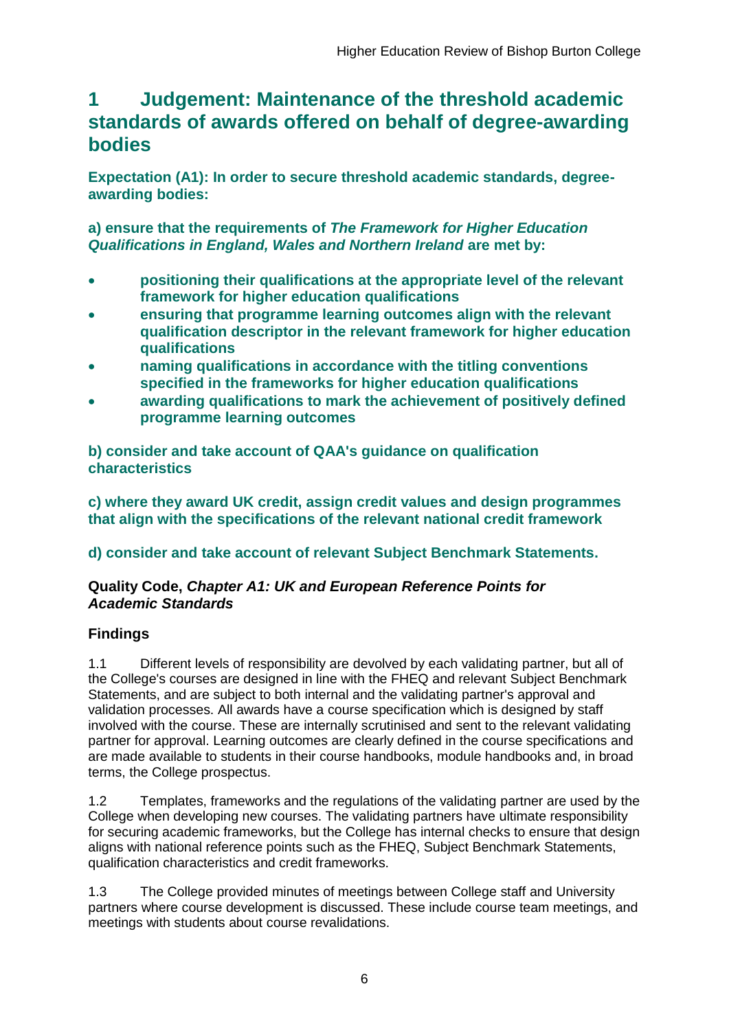## <span id="page-6-0"></span>**1 Judgement: Maintenance of the threshold academic standards of awards offered on behalf of degree-awarding bodies**

**Expectation (A1): In order to secure threshold academic standards, degreeawarding bodies:** 

**a) ensure that the requirements of** *The Framework for Higher Education Qualifications in England, Wales and Northern Ireland* **are met by:**

- **positioning their qualifications at the appropriate level of the relevant framework for higher education qualifications**
- **ensuring that programme learning outcomes align with the relevant qualification descriptor in the relevant framework for higher education qualifications**
- **naming qualifications in accordance with the titling conventions specified in the frameworks for higher education qualifications**
- **awarding qualifications to mark the achievement of positively defined programme learning outcomes**

**b) consider and take account of QAA's guidance on qualification characteristics** 

**c) where they award UK credit, assign credit values and design programmes that align with the specifications of the relevant national credit framework** 

## **d) consider and take account of relevant Subject Benchmark Statements.**

## **Quality Code,** *Chapter A1: UK and European Reference Points for Academic Standards*

## **Findings**

1.1 Different levels of responsibility are devolved by each validating partner, but all of the College's courses are designed in line with the FHEQ and relevant Subject Benchmark Statements, and are subject to both internal and the validating partner's approval and validation processes. All awards have a course specification which is designed by staff involved with the course. These are internally scrutinised and sent to the relevant validating partner for approval. Learning outcomes are clearly defined in the course specifications and are made available to students in their course handbooks, module handbooks and, in broad terms, the College prospectus.

1.2 Templates, frameworks and the regulations of the validating partner are used by the College when developing new courses. The validating partners have ultimate responsibility for securing academic frameworks, but the College has internal checks to ensure that design aligns with national reference points such as the FHEQ, Subject Benchmark Statements, qualification characteristics and credit frameworks.

1.3 The College provided minutes of meetings between College staff and University partners where course development is discussed. These include course team meetings, and meetings with students about course revalidations.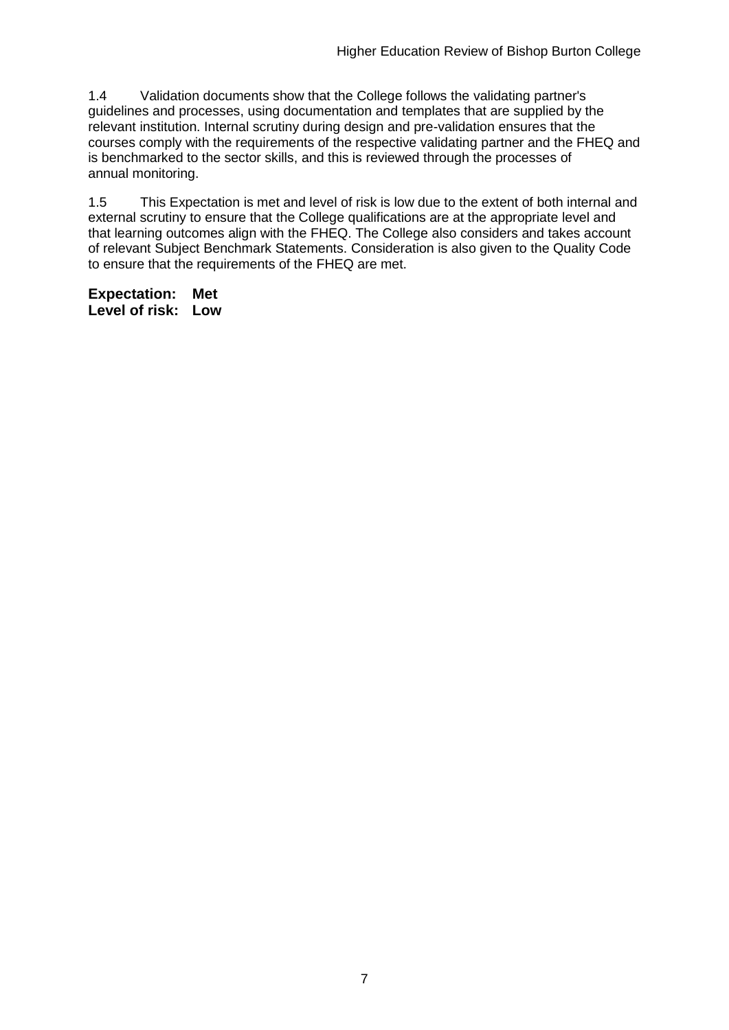1.4 Validation documents show that the College follows the validating partner's guidelines and processes, using documentation and templates that are supplied by the relevant institution. Internal scrutiny during design and pre-validation ensures that the courses comply with the requirements of the respective validating partner and the FHEQ and is benchmarked to the sector skills, and this is reviewed through the processes of annual monitoring.

1.5 This Expectation is met and level of risk is low due to the extent of both internal and external scrutiny to ensure that the College qualifications are at the appropriate level and that learning outcomes align with the FHEQ. The College also considers and takes account of relevant Subject Benchmark Statements. Consideration is also given to the Quality Code to ensure that the requirements of the FHEQ are met.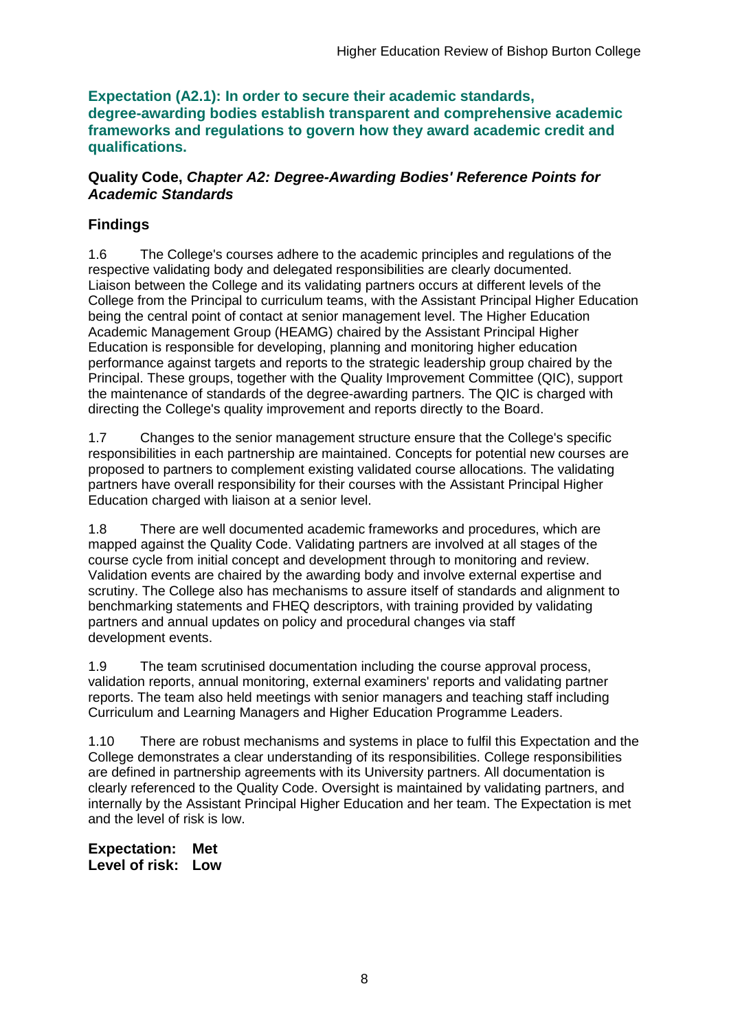**Expectation (A2.1): In order to secure their academic standards, degree-awarding bodies establish transparent and comprehensive academic frameworks and regulations to govern how they award academic credit and qualifications.**

### **Quality Code,** *Chapter A2: Degree-Awarding Bodies' Reference Points for Academic Standards*

## **Findings**

1.6 The College's courses adhere to the academic principles and regulations of the respective validating body and delegated responsibilities are clearly documented. Liaison between the College and its validating partners occurs at different levels of the College from the Principal to curriculum teams, with the Assistant Principal Higher Education being the central point of contact at senior management level. The Higher Education Academic Management Group (HEAMG) chaired by the Assistant Principal Higher Education is responsible for developing, planning and monitoring higher education performance against targets and reports to the strategic leadership group chaired by the Principal. These groups, together with the Quality Improvement Committee (QIC), support the maintenance of standards of the degree-awarding partners. The QIC is charged with directing the College's quality improvement and reports directly to the Board.

1.7 Changes to the senior management structure ensure that the College's specific responsibilities in each partnership are maintained. Concepts for potential new courses are proposed to partners to complement existing validated course allocations. The validating partners have overall responsibility for their courses with the Assistant Principal Higher Education charged with liaison at a senior level.

1.8 There are well documented academic frameworks and procedures, which are mapped against the Quality Code. Validating partners are involved at all stages of the course cycle from initial concept and development through to monitoring and review. Validation events are chaired by the awarding body and involve external expertise and scrutiny. The College also has mechanisms to assure itself of standards and alignment to benchmarking statements and FHEQ descriptors, with training provided by validating partners and annual updates on policy and procedural changes via staff development events.

1.9 The team scrutinised documentation including the course approval process, validation reports, annual monitoring, external examiners' reports and validating partner reports. The team also held meetings with senior managers and teaching staff including Curriculum and Learning Managers and Higher Education Programme Leaders.

1.10 There are robust mechanisms and systems in place to fulfil this Expectation and the College demonstrates a clear understanding of its responsibilities. College responsibilities are defined in partnership agreements with its University partners. All documentation is clearly referenced to the Quality Code. Oversight is maintained by validating partners, and internally by the Assistant Principal Higher Education and her team. The Expectation is met and the level of risk is low.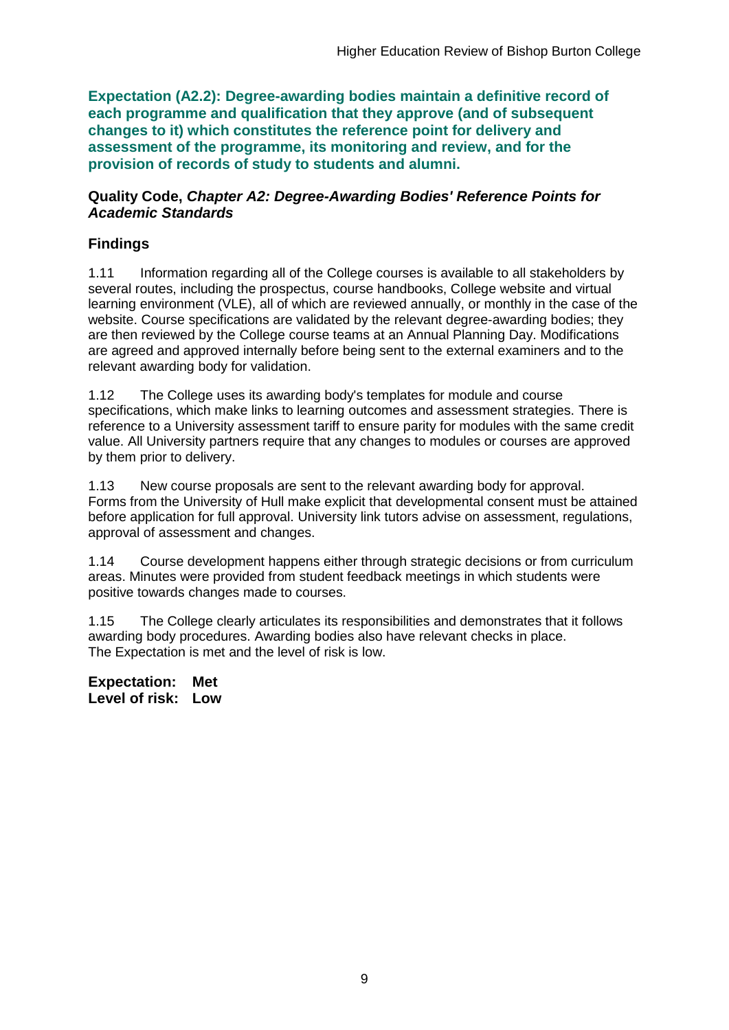**Expectation (A2.2): Degree-awarding bodies maintain a definitive record of each programme and qualification that they approve (and of subsequent changes to it) which constitutes the reference point for delivery and assessment of the programme, its monitoring and review, and for the provision of records of study to students and alumni.** 

### **Quality Code,** *Chapter A2: Degree-Awarding Bodies' Reference Points for Academic Standards*

## **Findings**

1.11 Information regarding all of the College courses is available to all stakeholders by several routes, including the prospectus, course handbooks, College website and virtual learning environment (VLE), all of which are reviewed annually, or monthly in the case of the website. Course specifications are validated by the relevant degree-awarding bodies; they are then reviewed by the College course teams at an Annual Planning Day. Modifications are agreed and approved internally before being sent to the external examiners and to the relevant awarding body for validation.

1.12 The College uses its awarding body's templates for module and course specifications, which make links to learning outcomes and assessment strategies. There is reference to a University assessment tariff to ensure parity for modules with the same credit value. All University partners require that any changes to modules or courses are approved by them prior to delivery.

1.13 New course proposals are sent to the relevant awarding body for approval. Forms from the University of Hull make explicit that developmental consent must be attained before application for full approval. University link tutors advise on assessment, regulations, approval of assessment and changes.

1.14 Course development happens either through strategic decisions or from curriculum areas. Minutes were provided from student feedback meetings in which students were positive towards changes made to courses.

1.15 The College clearly articulates its responsibilities and demonstrates that it follows awarding body procedures. Awarding bodies also have relevant checks in place. The Expectation is met and the level of risk is low.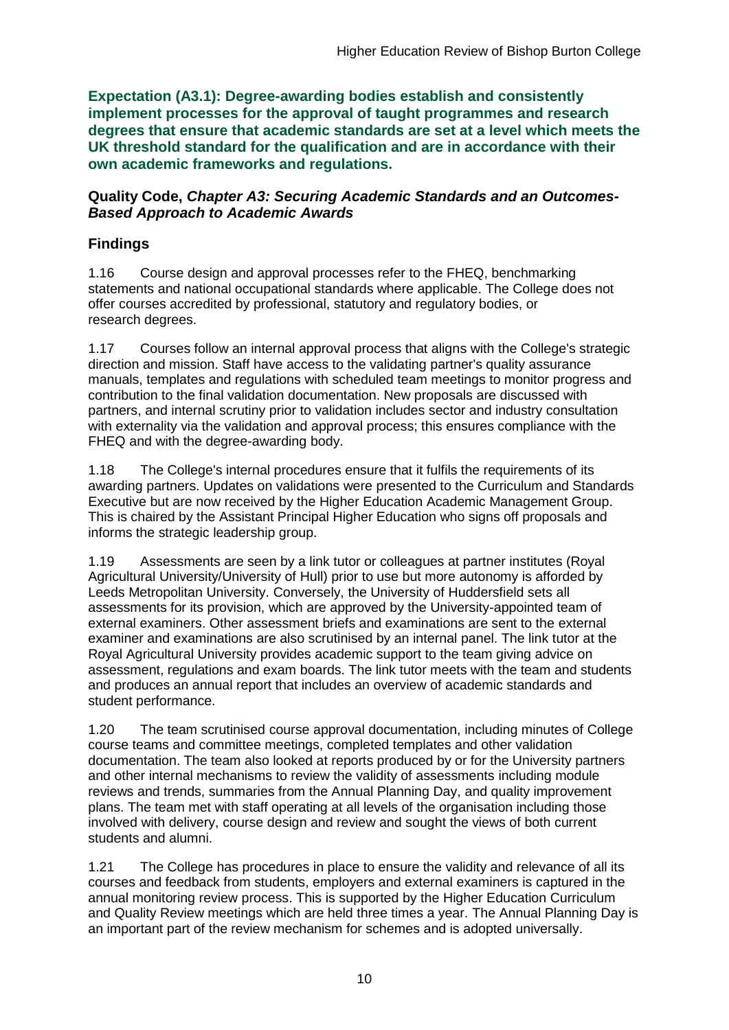**Expectation (A3.1): Degree-awarding bodies establish and consistently implement processes for the approval of taught programmes and research degrees that ensure that academic standards are set at a level which meets the UK threshold standard for the qualification and are in accordance with their own academic frameworks and regulations.**

### **Quality Code,** *Chapter A3: Securing Academic Standards and an Outcomes-Based Approach to Academic Awards*

## **Findings**

1.16 Course design and approval processes refer to the FHEQ, benchmarking statements and national occupational standards where applicable. The College does not offer courses accredited by professional, statutory and regulatory bodies, or research degrees.

1.17 Courses follow an internal approval process that aligns with the College's strategic direction and mission. Staff have access to the validating partner's quality assurance manuals, templates and regulations with scheduled team meetings to monitor progress and contribution to the final validation documentation. New proposals are discussed with partners, and internal scrutiny prior to validation includes sector and industry consultation with externality via the validation and approval process; this ensures compliance with the FHEQ and with the degree-awarding body.

1.18 The College's internal procedures ensure that it fulfils the requirements of its awarding partners. Updates on validations were presented to the Curriculum and Standards Executive but are now received by the Higher Education Academic Management Group. This is chaired by the Assistant Principal Higher Education who signs off proposals and informs the strategic leadership group.

1.19 Assessments are seen by a link tutor or colleagues at partner institutes (Royal Agricultural University/University of Hull) prior to use but more autonomy is afforded by Leeds Metropolitan University. Conversely, the University of Huddersfield sets all assessments for its provision, which are approved by the University-appointed team of external examiners. Other assessment briefs and examinations are sent to the external examiner and examinations are also scrutinised by an internal panel. The link tutor at the Royal Agricultural University provides academic support to the team giving advice on assessment, regulations and exam boards. The link tutor meets with the team and students and produces an annual report that includes an overview of academic standards and student performance.

1.20 The team scrutinised course approval documentation, including minutes of College course teams and committee meetings, completed templates and other validation documentation. The team also looked at reports produced by or for the University partners and other internal mechanisms to review the validity of assessments including module reviews and trends, summaries from the Annual Planning Day, and quality improvement plans. The team met with staff operating at all levels of the organisation including those involved with delivery, course design and review and sought the views of both current students and alumni.

1.21 The College has procedures in place to ensure the validity and relevance of all its courses and feedback from students, employers and external examiners is captured in the annual monitoring review process. This is supported by the Higher Education Curriculum and Quality Review meetings which are held three times a year. The Annual Planning Day is an important part of the review mechanism for schemes and is adopted universally.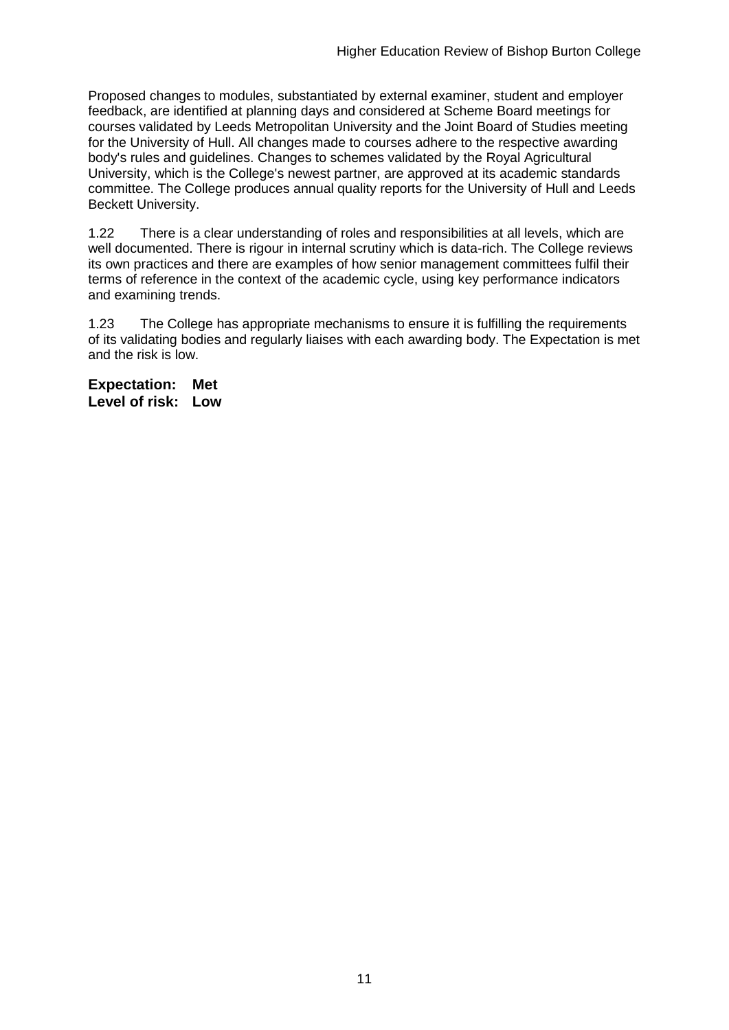Proposed changes to modules, substantiated by external examiner, student and employer feedback, are identified at planning days and considered at Scheme Board meetings for courses validated by Leeds Metropolitan University and the Joint Board of Studies meeting for the University of Hull. All changes made to courses adhere to the respective awarding body's rules and guidelines. Changes to schemes validated by the Royal Agricultural University, which is the College's newest partner, are approved at its academic standards committee. The College produces annual quality reports for the University of Hull and Leeds Beckett University.

1.22 There is a clear understanding of roles and responsibilities at all levels, which are well documented. There is rigour in internal scrutiny which is data-rich. The College reviews its own practices and there are examples of how senior management committees fulfil their terms of reference in the context of the academic cycle, using key performance indicators and examining trends.

1.23 The College has appropriate mechanisms to ensure it is fulfilling the requirements of its validating bodies and regularly liaises with each awarding body. The Expectation is met and the risk is low.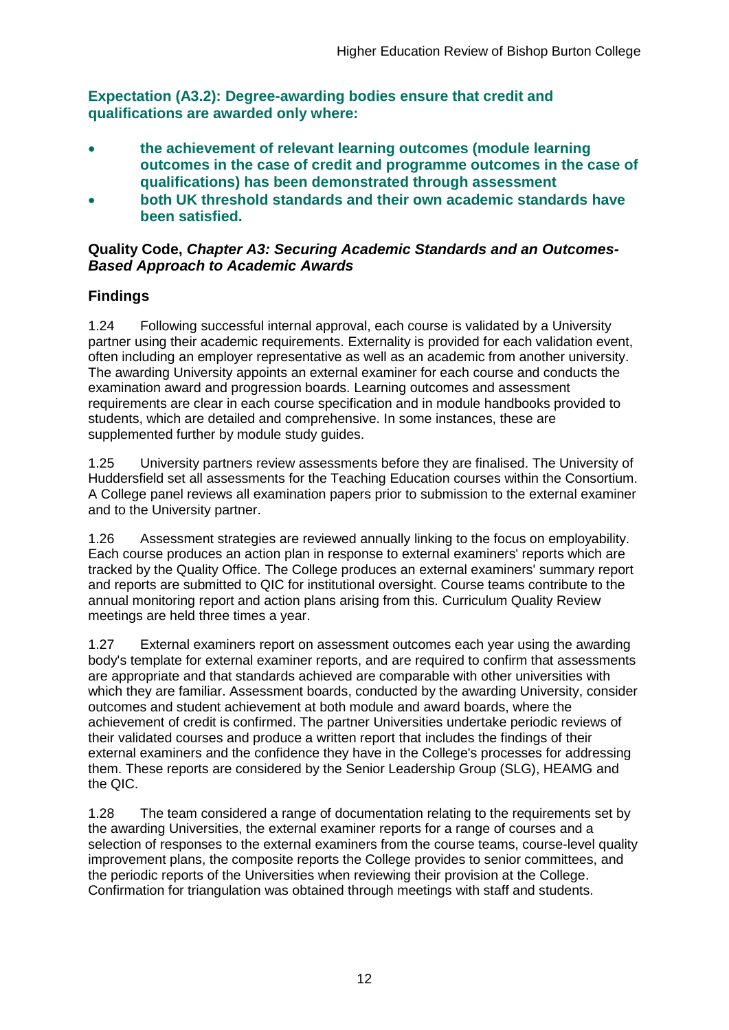**Expectation (A3.2): Degree-awarding bodies ensure that credit and qualifications are awarded only where:** 

- **the achievement of relevant learning outcomes (module learning outcomes in the case of credit and programme outcomes in the case of qualifications) has been demonstrated through assessment**
- **both UK threshold standards and their own academic standards have been satisfied.**

### **Quality Code,** *Chapter A3: Securing Academic Standards and an Outcomes-Based Approach to Academic Awards*

## **Findings**

1.24 Following successful internal approval, each course is validated by a University partner using their academic requirements. Externality is provided for each validation event, often including an employer representative as well as an academic from another university. The awarding University appoints an external examiner for each course and conducts the examination award and progression boards. Learning outcomes and assessment requirements are clear in each course specification and in module handbooks provided to students, which are detailed and comprehensive. In some instances, these are supplemented further by module study guides.

1.25 University partners review assessments before they are finalised. The University of Huddersfield set all assessments for the Teaching Education courses within the Consortium. A College panel reviews all examination papers prior to submission to the external examiner and to the University partner.

1.26 Assessment strategies are reviewed annually linking to the focus on employability. Each course produces an action plan in response to external examiners' reports which are tracked by the Quality Office. The College produces an external examiners' summary report and reports are submitted to QIC for institutional oversight. Course teams contribute to the annual monitoring report and action plans arising from this. Curriculum Quality Review meetings are held three times a year.

1.27 External examiners report on assessment outcomes each year using the awarding body's template for external examiner reports, and are required to confirm that assessments are appropriate and that standards achieved are comparable with other universities with which they are familiar. Assessment boards, conducted by the awarding University, consider outcomes and student achievement at both module and award boards, where the achievement of credit is confirmed. The partner Universities undertake periodic reviews of their validated courses and produce a written report that includes the findings of their external examiners and the confidence they have in the College's processes for addressing them. These reports are considered by the Senior Leadership Group (SLG), HEAMG and the QIC.

1.28 The team considered a range of documentation relating to the requirements set by the awarding Universities, the external examiner reports for a range of courses and a selection of responses to the external examiners from the course teams, course-level quality improvement plans, the composite reports the College provides to senior committees, and the periodic reports of the Universities when reviewing their provision at the College. Confirmation for triangulation was obtained through meetings with staff and students.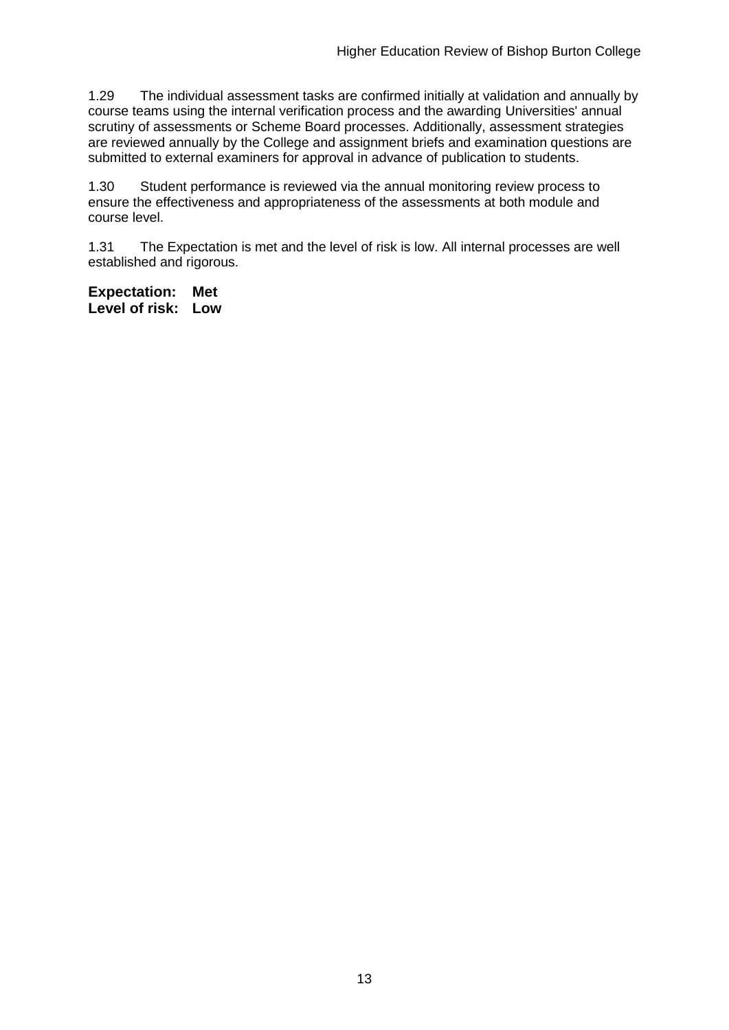1.29 The individual assessment tasks are confirmed initially at validation and annually by course teams using the internal verification process and the awarding Universities' annual scrutiny of assessments or Scheme Board processes. Additionally, assessment strategies are reviewed annually by the College and assignment briefs and examination questions are submitted to external examiners for approval in advance of publication to students.

1.30 Student performance is reviewed via the annual monitoring review process to ensure the effectiveness and appropriateness of the assessments at both module and course level.

1.31 The Expectation is met and the level of risk is low. All internal processes are well established and rigorous.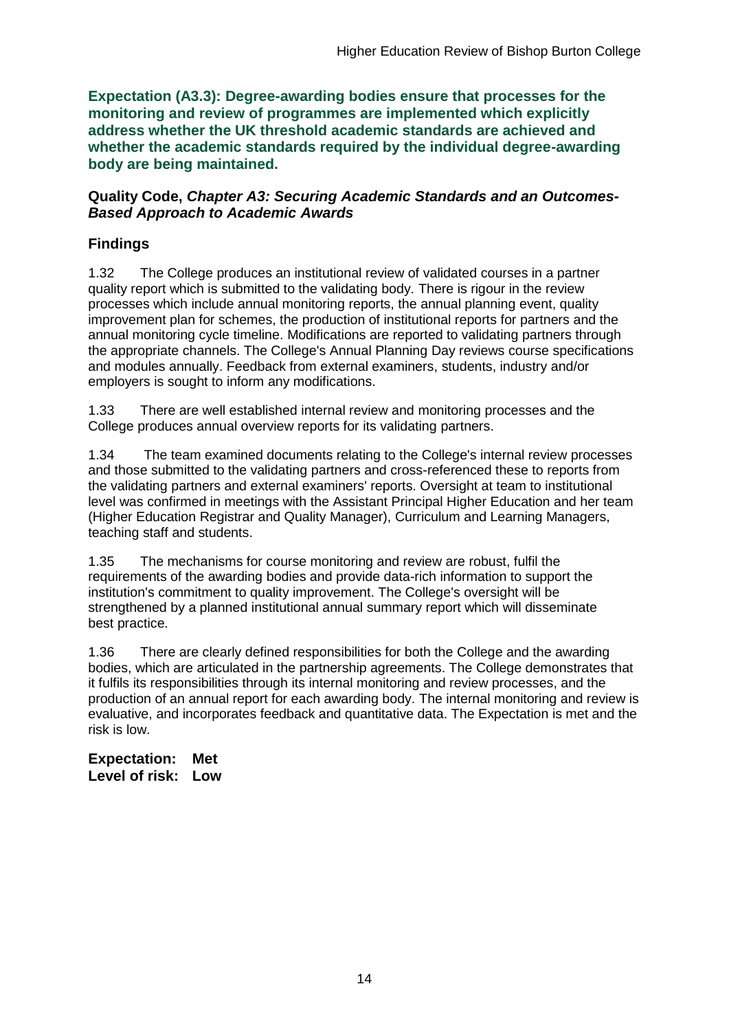**Expectation (A3.3): Degree-awarding bodies ensure that processes for the monitoring and review of programmes are implemented which explicitly address whether the UK threshold academic standards are achieved and whether the academic standards required by the individual degree-awarding body are being maintained.**

### **Quality Code,** *Chapter A3: Securing Academic Standards and an Outcomes-Based Approach to Academic Awards*

## **Findings**

1.32 The College produces an institutional review of validated courses in a partner quality report which is submitted to the validating body. There is rigour in the review processes which include annual monitoring reports, the annual planning event, quality improvement plan for schemes, the production of institutional reports for partners and the annual monitoring cycle timeline. Modifications are reported to validating partners through the appropriate channels. The College's Annual Planning Day reviews course specifications and modules annually. Feedback from external examiners, students, industry and/or employers is sought to inform any modifications.

1.33 There are well established internal review and monitoring processes and the College produces annual overview reports for its validating partners.

1.34 The team examined documents relating to the College's internal review processes and those submitted to the validating partners and cross-referenced these to reports from the validating partners and external examiners' reports. Oversight at team to institutional level was confirmed in meetings with the Assistant Principal Higher Education and her team (Higher Education Registrar and Quality Manager), Curriculum and Learning Managers, teaching staff and students.

1.35 The mechanisms for course monitoring and review are robust, fulfil the requirements of the awarding bodies and provide data-rich information to support the institution's commitment to quality improvement. The College's oversight will be strengthened by a planned institutional annual summary report which will disseminate best practice.

1.36 There are clearly defined responsibilities for both the College and the awarding bodies, which are articulated in the partnership agreements. The College demonstrates that it fulfils its responsibilities through its internal monitoring and review processes, and the production of an annual report for each awarding body. The internal monitoring and review is evaluative, and incorporates feedback and quantitative data. The Expectation is met and the risk is low.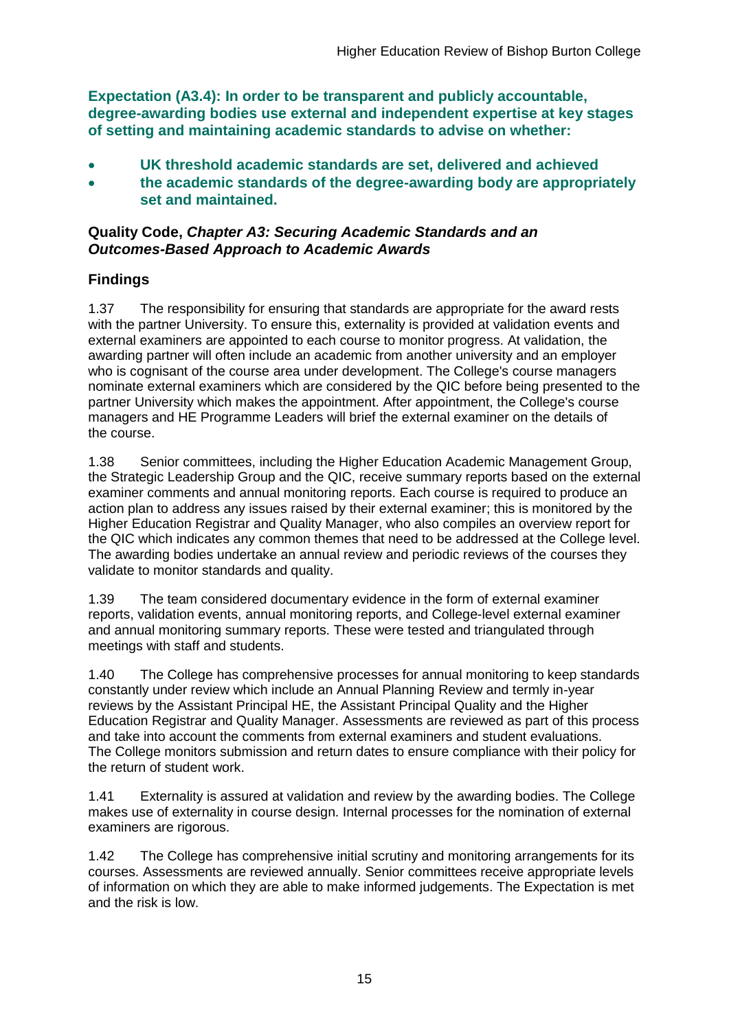**Expectation (A3.4): In order to be transparent and publicly accountable, degree-awarding bodies use external and independent expertise at key stages of setting and maintaining academic standards to advise on whether:**

- **UK threshold academic standards are set, delivered and achieved**
- **the academic standards of the degree-awarding body are appropriately set and maintained.**

### **Quality Code,** *Chapter A3: Securing Academic Standards and an Outcomes-Based Approach to Academic Awards*

### **Findings**

1.37 The responsibility for ensuring that standards are appropriate for the award rests with the partner University. To ensure this, externality is provided at validation events and external examiners are appointed to each course to monitor progress. At validation, the awarding partner will often include an academic from another university and an employer who is cognisant of the course area under development. The College's course managers nominate external examiners which are considered by the QIC before being presented to the partner University which makes the appointment. After appointment, the College's course managers and HE Programme Leaders will brief the external examiner on the details of the course.

1.38 Senior committees, including the Higher Education Academic Management Group, the Strategic Leadership Group and the QIC, receive summary reports based on the external examiner comments and annual monitoring reports. Each course is required to produce an action plan to address any issues raised by their external examiner; this is monitored by the Higher Education Registrar and Quality Manager, who also compiles an overview report for the QIC which indicates any common themes that need to be addressed at the College level. The awarding bodies undertake an annual review and periodic reviews of the courses they validate to monitor standards and quality.

1.39 The team considered documentary evidence in the form of external examiner reports, validation events, annual monitoring reports, and College-level external examiner and annual monitoring summary reports. These were tested and triangulated through meetings with staff and students.

1.40 The College has comprehensive processes for annual monitoring to keep standards constantly under review which include an Annual Planning Review and termly in-year reviews by the Assistant Principal HE, the Assistant Principal Quality and the Higher Education Registrar and Quality Manager. Assessments are reviewed as part of this process and take into account the comments from external examiners and student evaluations. The College monitors submission and return dates to ensure compliance with their policy for the return of student work.

1.41 Externality is assured at validation and review by the awarding bodies. The College makes use of externality in course design. Internal processes for the nomination of external examiners are rigorous.

1.42 The College has comprehensive initial scrutiny and monitoring arrangements for its courses. Assessments are reviewed annually. Senior committees receive appropriate levels of information on which they are able to make informed judgements. The Expectation is met and the risk is low.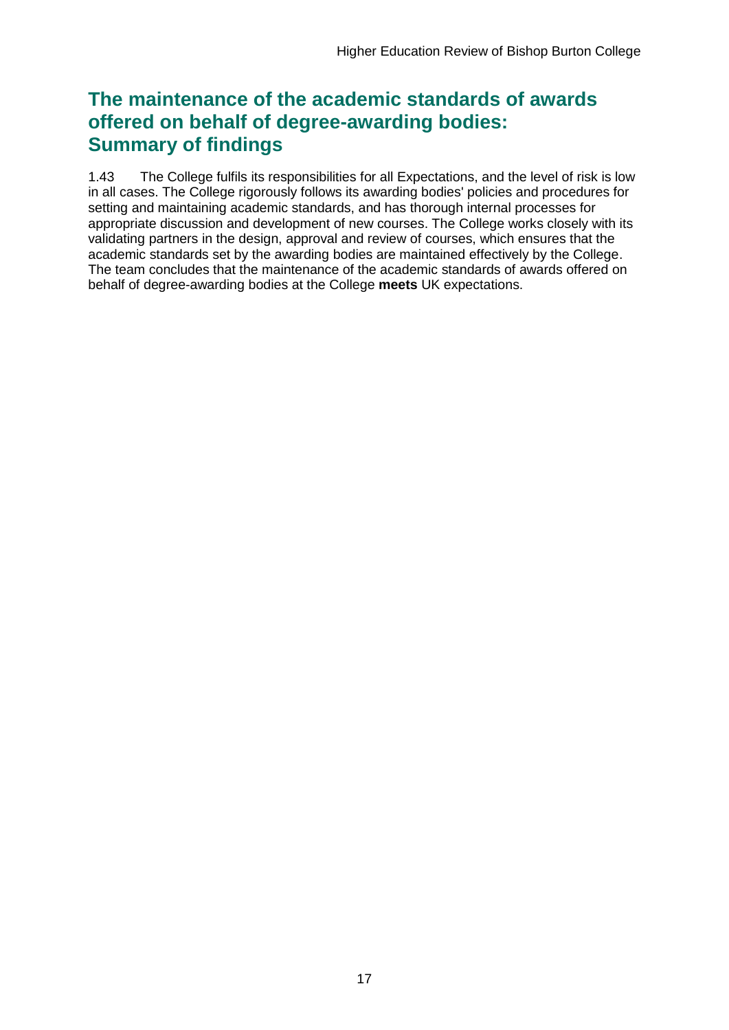## **The maintenance of the academic standards of awards offered on behalf of degree-awarding bodies: Summary of findings**

1.43 The College fulfils its responsibilities for all Expectations, and the level of risk is low in all cases. The College rigorously follows its awarding bodies' policies and procedures for setting and maintaining academic standards, and has thorough internal processes for appropriate discussion and development of new courses. The College works closely with its validating partners in the design, approval and review of courses, which ensures that the academic standards set by the awarding bodies are maintained effectively by the College. The team concludes that the maintenance of the academic standards of awards offered on behalf of degree-awarding bodies at the College **meets** UK expectations.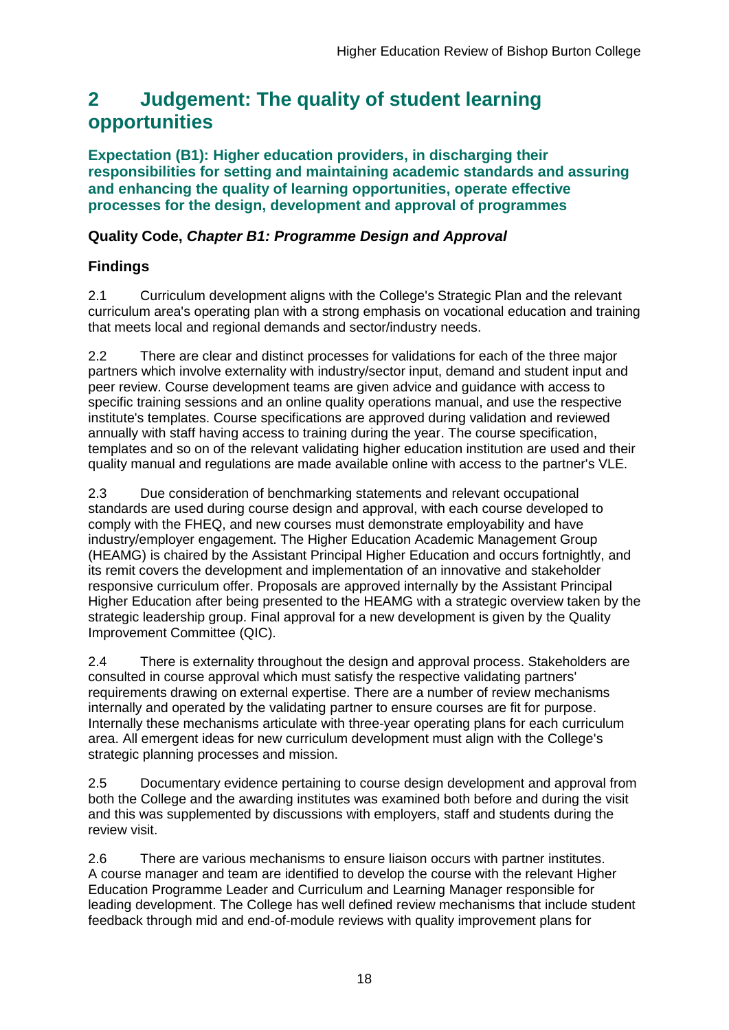## <span id="page-18-0"></span>**2 Judgement: The quality of student learning opportunities**

**Expectation (B1): Higher education providers, in discharging their responsibilities for setting and maintaining academic standards and assuring and enhancing the quality of learning opportunities, operate effective processes for the design, development and approval of programmes**

## **Quality Code,** *Chapter B1: Programme Design and Approval*

## **Findings**

2.1 Curriculum development aligns with the College's Strategic Plan and the relevant curriculum area's operating plan with a strong emphasis on vocational education and training that meets local and regional demands and sector/industry needs.

2.2 There are clear and distinct processes for validations for each of the three major partners which involve externality with industry/sector input, demand and student input and peer review. Course development teams are given advice and guidance with access to specific training sessions and an online quality operations manual, and use the respective institute's templates. Course specifications are approved during validation and reviewed annually with staff having access to training during the year. The course specification, templates and so on of the relevant validating higher education institution are used and their quality manual and regulations are made available online with access to the partner's VLE.

2.3 Due consideration of benchmarking statements and relevant occupational standards are used during course design and approval, with each course developed to comply with the FHEQ, and new courses must demonstrate employability and have industry/employer engagement. The Higher Education Academic Management Group (HEAMG) is chaired by the Assistant Principal Higher Education and occurs fortnightly, and its remit covers the development and implementation of an innovative and stakeholder responsive curriculum offer. Proposals are approved internally by the Assistant Principal Higher Education after being presented to the HEAMG with a strategic overview taken by the strategic leadership group. Final approval for a new development is given by the Quality Improvement Committee (QIC).

2.4 There is externality throughout the design and approval process. Stakeholders are consulted in course approval which must satisfy the respective validating partners' requirements drawing on external expertise. There are a number of review mechanisms internally and operated by the validating partner to ensure courses are fit for purpose. Internally these mechanisms articulate with three-year operating plans for each curriculum area. All emergent ideas for new curriculum development must align with the College's strategic planning processes and mission.

2.5 Documentary evidence pertaining to course design development and approval from both the College and the awarding institutes was examined both before and during the visit and this was supplemented by discussions with employers, staff and students during the review visit.

2.6 There are various mechanisms to ensure liaison occurs with partner institutes. A course manager and team are identified to develop the course with the relevant Higher Education Programme Leader and Curriculum and Learning Manager responsible for leading development. The College has well defined review mechanisms that include student feedback through mid and end-of-module reviews with quality improvement plans for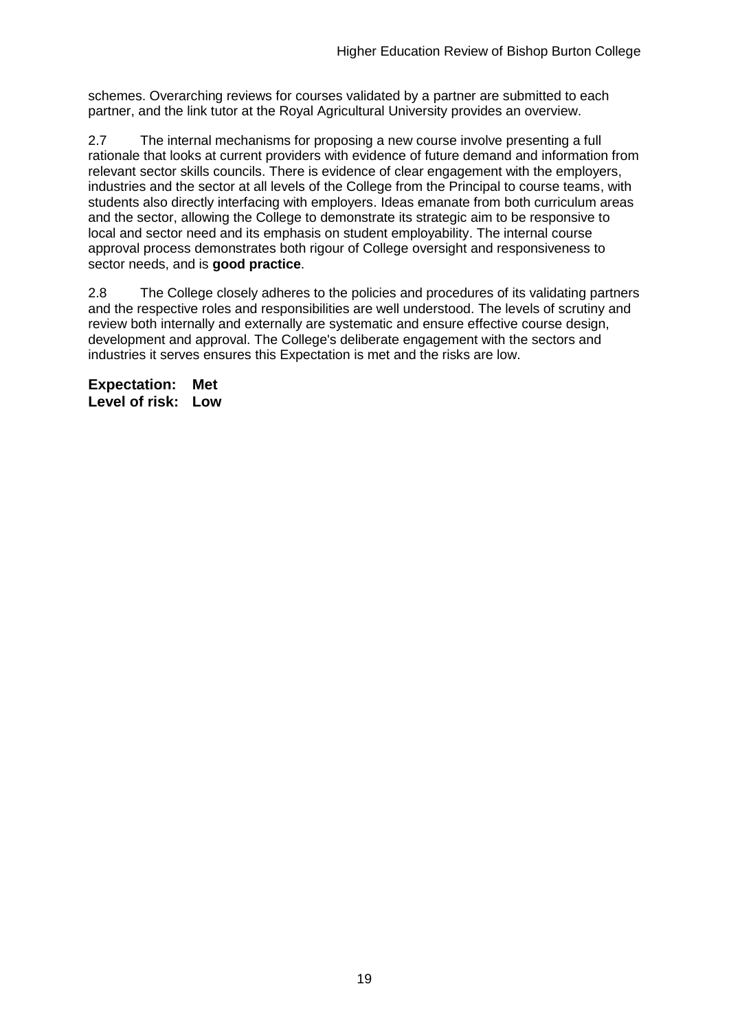schemes. Overarching reviews for courses validated by a partner are submitted to each partner, and the link tutor at the Royal Agricultural University provides an overview.

2.7 The internal mechanisms for proposing a new course involve presenting a full rationale that looks at current providers with evidence of future demand and information from relevant sector skills councils. There is evidence of clear engagement with the employers, industries and the sector at all levels of the College from the Principal to course teams, with students also directly interfacing with employers. Ideas emanate from both curriculum areas and the sector, allowing the College to demonstrate its strategic aim to be responsive to local and sector need and its emphasis on student employability. The internal course approval process demonstrates both rigour of College oversight and responsiveness to sector needs, and is **good practice**.

2.8 The College closely adheres to the policies and procedures of its validating partners and the respective roles and responsibilities are well understood. The levels of scrutiny and review both internally and externally are systematic and ensure effective course design, development and approval. The College's deliberate engagement with the sectors and industries it serves ensures this Expectation is met and the risks are low.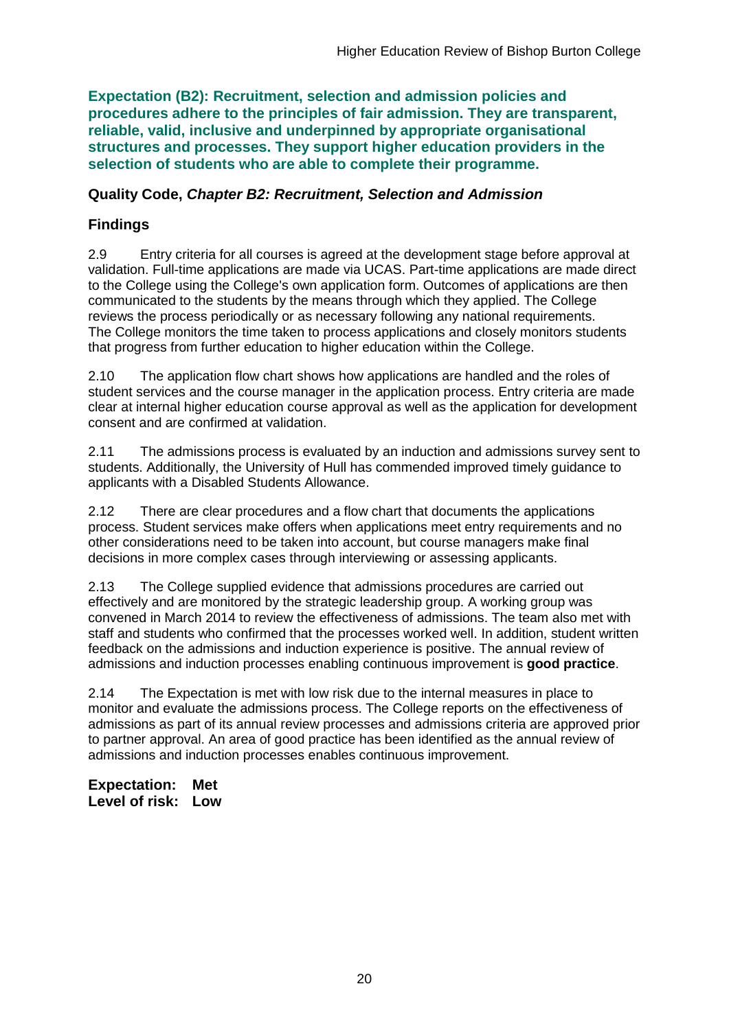**Expectation (B2): Recruitment, selection and admission policies and procedures adhere to the principles of fair admission. They are transparent, reliable, valid, inclusive and underpinned by appropriate organisational structures and processes. They support higher education providers in the selection of students who are able to complete their programme.**

### **Quality Code,** *Chapter B2: Recruitment, Selection and Admission*

## **Findings**

2.9 Entry criteria for all courses is agreed at the development stage before approval at validation. Full-time applications are made via UCAS. Part-time applications are made direct to the College using the College's own application form. Outcomes of applications are then communicated to the students by the means through which they applied. The College reviews the process periodically or as necessary following any national requirements. The College monitors the time taken to process applications and closely monitors students that progress from further education to higher education within the College.

2.10 The application flow chart shows how applications are handled and the roles of student services and the course manager in the application process. Entry criteria are made clear at internal higher education course approval as well as the application for development consent and are confirmed at validation.

2.11 The admissions process is evaluated by an induction and admissions survey sent to students. Additionally, the University of Hull has commended improved timely guidance to applicants with a Disabled Students Allowance.

2.12 There are clear procedures and a flow chart that documents the applications process. Student services make offers when applications meet entry requirements and no other considerations need to be taken into account, but course managers make final decisions in more complex cases through interviewing or assessing applicants.

2.13 The College supplied evidence that admissions procedures are carried out effectively and are monitored by the strategic leadership group. A working group was convened in March 2014 to review the effectiveness of admissions. The team also met with staff and students who confirmed that the processes worked well. In addition, student written feedback on the admissions and induction experience is positive. The annual review of admissions and induction processes enabling continuous improvement is **good practice**.

2.14 The Expectation is met with low risk due to the internal measures in place to monitor and evaluate the admissions process. The College reports on the effectiveness of admissions as part of its annual review processes and admissions criteria are approved prior to partner approval. An area of good practice has been identified as the annual review of admissions and induction processes enables continuous improvement.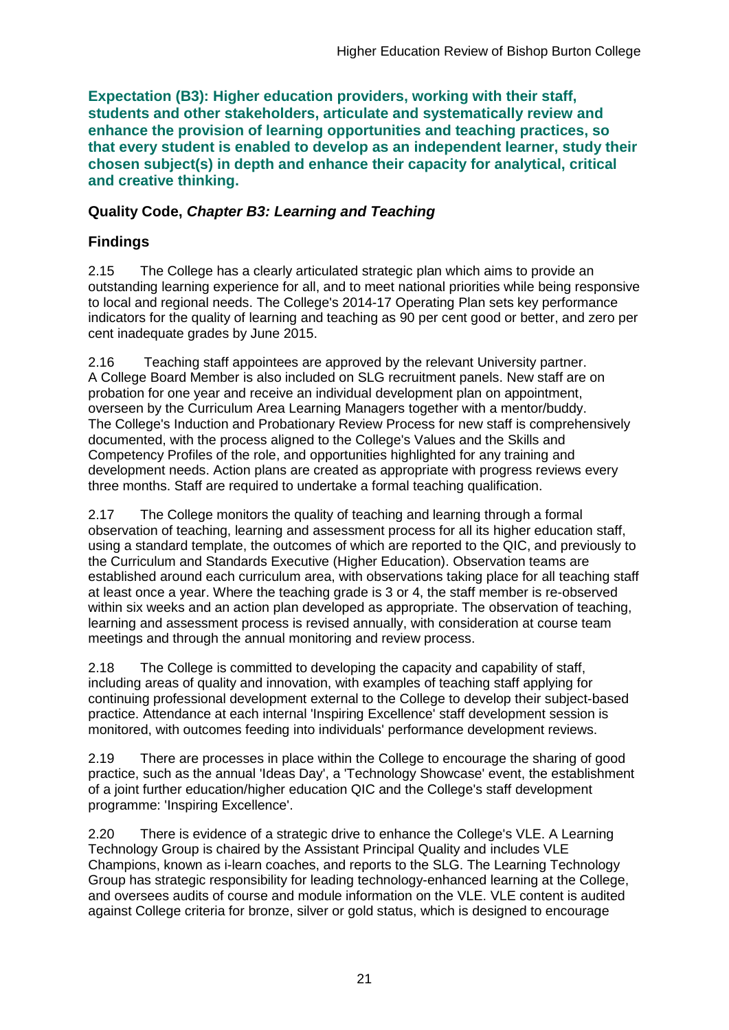**Expectation (B3): Higher education providers, working with their staff, students and other stakeholders, articulate and systematically review and enhance the provision of learning opportunities and teaching practices, so that every student is enabled to develop as an independent learner, study their chosen subject(s) in depth and enhance their capacity for analytical, critical and creative thinking.**

### **Quality Code,** *Chapter B3: Learning and Teaching*

## **Findings**

2.15 The College has a clearly articulated strategic plan which aims to provide an outstanding learning experience for all, and to meet national priorities while being responsive to local and regional needs. The College's 2014-17 Operating Plan sets key performance indicators for the quality of learning and teaching as 90 per cent good or better, and zero per cent inadequate grades by June 2015.

2.16 Teaching staff appointees are approved by the relevant University partner. A College Board Member is also included on SLG recruitment panels. New staff are on probation for one year and receive an individual development plan on appointment, overseen by the Curriculum Area Learning Managers together with a mentor/buddy. The College's Induction and Probationary Review Process for new staff is comprehensively documented, with the process aligned to the College's Values and the Skills and Competency Profiles of the role, and opportunities highlighted for any training and development needs. Action plans are created as appropriate with progress reviews every three months. Staff are required to undertake a formal teaching qualification.

2.17 The College monitors the quality of teaching and learning through a formal observation of teaching, learning and assessment process for all its higher education staff, using a standard template, the outcomes of which are reported to the QIC, and previously to the Curriculum and Standards Executive (Higher Education). Observation teams are established around each curriculum area, with observations taking place for all teaching staff at least once a year. Where the teaching grade is 3 or 4, the staff member is re-observed within six weeks and an action plan developed as appropriate. The observation of teaching, learning and assessment process is revised annually, with consideration at course team meetings and through the annual monitoring and review process.

2.18 The College is committed to developing the capacity and capability of staff, including areas of quality and innovation, with examples of teaching staff applying for continuing professional development external to the College to develop their subject-based practice. Attendance at each internal 'Inspiring Excellence' staff development session is monitored, with outcomes feeding into individuals' performance development reviews.

2.19 There are processes in place within the College to encourage the sharing of good practice, such as the annual 'Ideas Day', a 'Technology Showcase' event, the establishment of a joint further education/higher education QIC and the College's staff development programme: 'Inspiring Excellence'.

2.20 There is evidence of a strategic drive to enhance the College's VLE. A Learning Technology Group is chaired by the Assistant Principal Quality and includes VLE Champions, known as i-learn coaches, and reports to the SLG. The Learning Technology Group has strategic responsibility for leading technology-enhanced learning at the College, and oversees audits of course and module information on the VLE. VLE content is audited against College criteria for bronze, silver or gold status, which is designed to encourage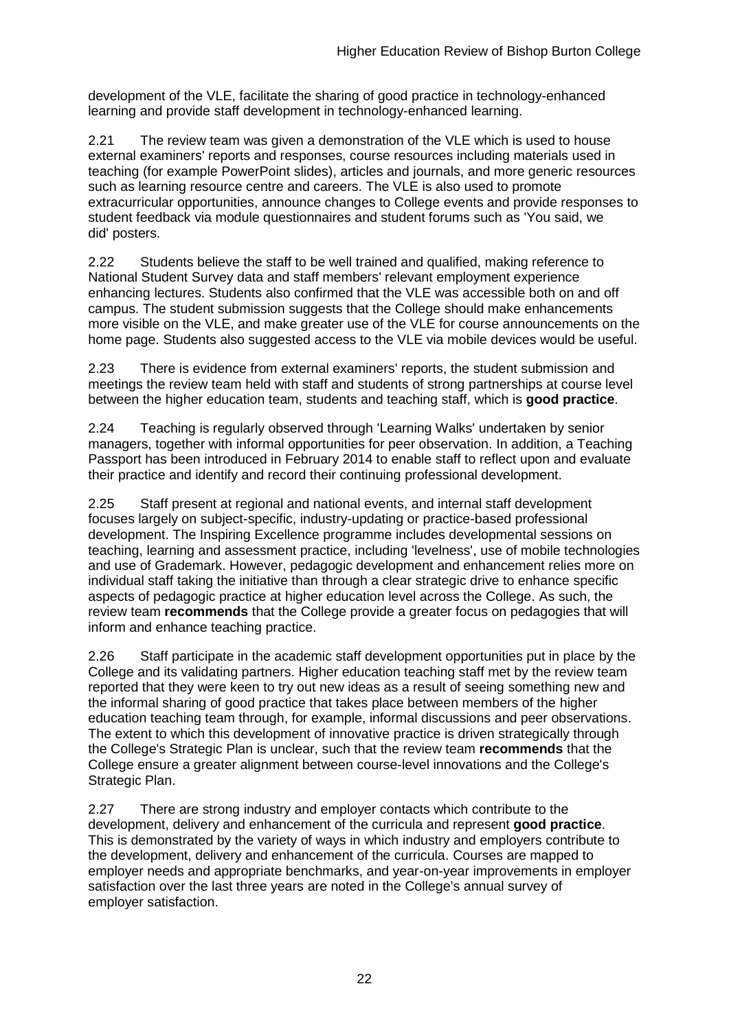development of the VLE, facilitate the sharing of good practice in technology-enhanced learning and provide staff development in technology-enhanced learning.

2.21 The review team was given a demonstration of the VLE which is used to house external examiners' reports and responses, course resources including materials used in teaching (for example PowerPoint slides), articles and journals, and more generic resources such as learning resource centre and careers. The VLE is also used to promote extracurricular opportunities, announce changes to College events and provide responses to student feedback via module questionnaires and student forums such as 'You said, we did' posters.

2.22 Students believe the staff to be well trained and qualified, making reference to National Student Survey data and staff members' relevant employment experience enhancing lectures. Students also confirmed that the VLE was accessible both on and off campus. The student submission suggests that the College should make enhancements more visible on the VLE, and make greater use of the VLE for course announcements on the home page. Students also suggested access to the VLE via mobile devices would be useful.

2.23 There is evidence from external examiners' reports, the student submission and meetings the review team held with staff and students of strong partnerships at course level between the higher education team, students and teaching staff, which is **good practice**.

2.24 Teaching is regularly observed through 'Learning Walks' undertaken by senior managers, together with informal opportunities for peer observation. In addition, a Teaching Passport has been introduced in February 2014 to enable staff to reflect upon and evaluate their practice and identify and record their continuing professional development.

2.25 Staff present at regional and national events, and internal staff development focuses largely on subject-specific, industry-updating or practice-based professional development. The Inspiring Excellence programme includes developmental sessions on teaching, learning and assessment practice, including 'levelness', use of mobile technologies and use of Grademark. However, pedagogic development and enhancement relies more on individual staff taking the initiative than through a clear strategic drive to enhance specific aspects of pedagogic practice at higher education level across the College. As such, the review team **recommends** that the College provide a greater focus on pedagogies that will inform and enhance teaching practice.

2.26 Staff participate in the academic staff development opportunities put in place by the College and its validating partners. Higher education teaching staff met by the review team reported that they were keen to try out new ideas as a result of seeing something new and the informal sharing of good practice that takes place between members of the higher education teaching team through, for example, informal discussions and peer observations. The extent to which this development of innovative practice is driven strategically through the College's Strategic Plan is unclear, such that the review team **recommends** that the College ensure a greater alignment between course-level innovations and the College's Strategic Plan.

2.27 There are strong industry and employer contacts which contribute to the development, delivery and enhancement of the curricula and represent **good practice**. This is demonstrated by the variety of ways in which industry and employers contribute to the development, delivery and enhancement of the curricula. Courses are mapped to employer needs and appropriate benchmarks, and year-on-year improvements in employer satisfaction over the last three years are noted in the College's annual survey of employer satisfaction.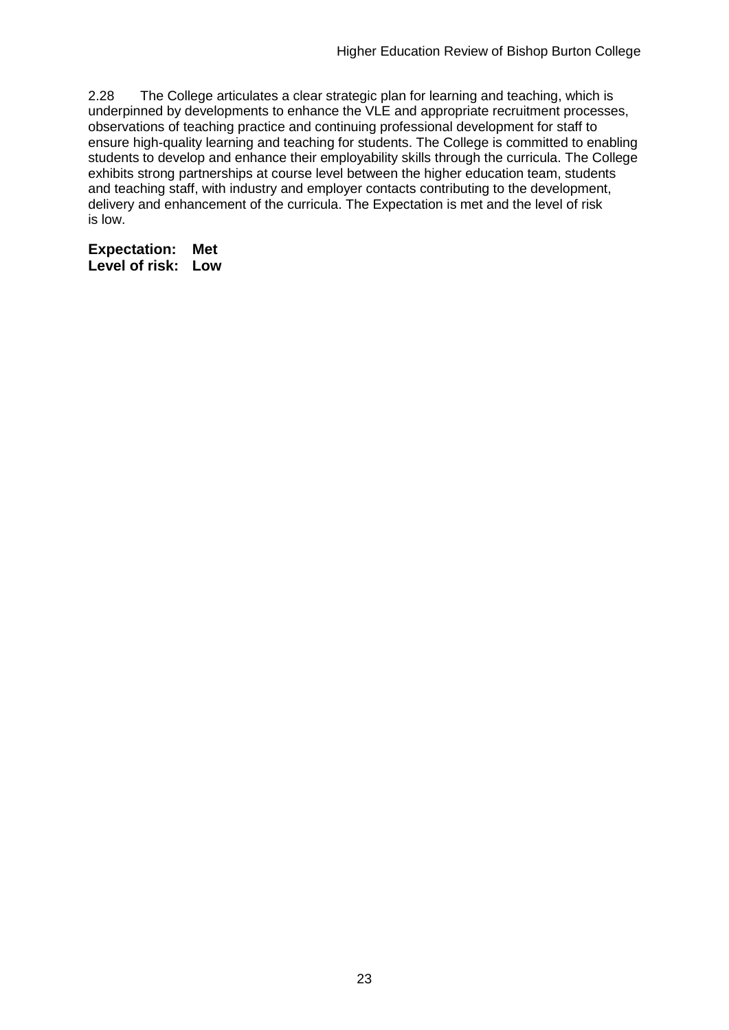2.28 The College articulates a clear strategic plan for learning and teaching, which is underpinned by developments to enhance the VLE and appropriate recruitment processes, observations of teaching practice and continuing professional development for staff to ensure high-quality learning and teaching for students. The College is committed to enabling students to develop and enhance their employability skills through the curricula. The College exhibits strong partnerships at course level between the higher education team, students and teaching staff, with industry and employer contacts contributing to the development, delivery and enhancement of the curricula. The Expectation is met and the level of risk is low.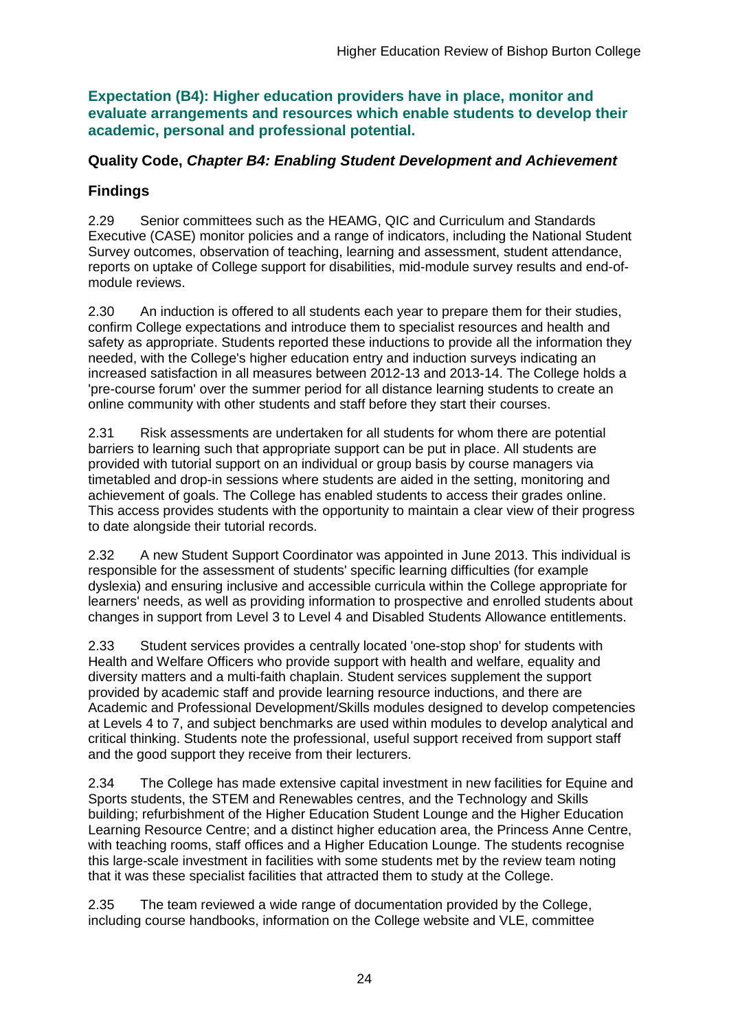**Expectation (B4): Higher education providers have in place, monitor and evaluate arrangements and resources which enable students to develop their academic, personal and professional potential.**

### **Quality Code,** *Chapter B4: Enabling Student Development and Achievement*

## **Findings**

2.29 Senior committees such as the HEAMG, QIC and Curriculum and Standards Executive (CASE) monitor policies and a range of indicators, including the National Student Survey outcomes, observation of teaching, learning and assessment, student attendance, reports on uptake of College support for disabilities, mid-module survey results and end-ofmodule reviews.

2.30 An induction is offered to all students each year to prepare them for their studies, confirm College expectations and introduce them to specialist resources and health and safety as appropriate. Students reported these inductions to provide all the information they needed, with the College's higher education entry and induction surveys indicating an increased satisfaction in all measures between 2012-13 and 2013-14. The College holds a 'pre-course forum' over the summer period for all distance learning students to create an online community with other students and staff before they start their courses.

2.31 Risk assessments are undertaken for all students for whom there are potential barriers to learning such that appropriate support can be put in place. All students are provided with tutorial support on an individual or group basis by course managers via timetabled and drop-in sessions where students are aided in the setting, monitoring and achievement of goals. The College has enabled students to access their grades online. This access provides students with the opportunity to maintain a clear view of their progress to date alongside their tutorial records.

2.32 A new Student Support Coordinator was appointed in June 2013. This individual is responsible for the assessment of students' specific learning difficulties (for example dyslexia) and ensuring inclusive and accessible curricula within the College appropriate for learners' needs, as well as providing information to prospective and enrolled students about changes in support from Level 3 to Level 4 and Disabled Students Allowance entitlements.

2.33 Student services provides a centrally located 'one-stop shop' for students with Health and Welfare Officers who provide support with health and welfare, equality and diversity matters and a multi-faith chaplain. Student services supplement the support provided by academic staff and provide learning resource inductions, and there are Academic and Professional Development/Skills modules designed to develop competencies at Levels 4 to 7, and subject benchmarks are used within modules to develop analytical and critical thinking. Students note the professional, useful support received from support staff and the good support they receive from their lecturers.

2.34 The College has made extensive capital investment in new facilities for Equine and Sports students, the STEM and Renewables centres, and the Technology and Skills building; refurbishment of the Higher Education Student Lounge and the Higher Education Learning Resource Centre; and a distinct higher education area, the Princess Anne Centre, with teaching rooms, staff offices and a Higher Education Lounge. The students recognise this large-scale investment in facilities with some students met by the review team noting that it was these specialist facilities that attracted them to study at the College.

2.35 The team reviewed a wide range of documentation provided by the College, including course handbooks, information on the College website and VLE, committee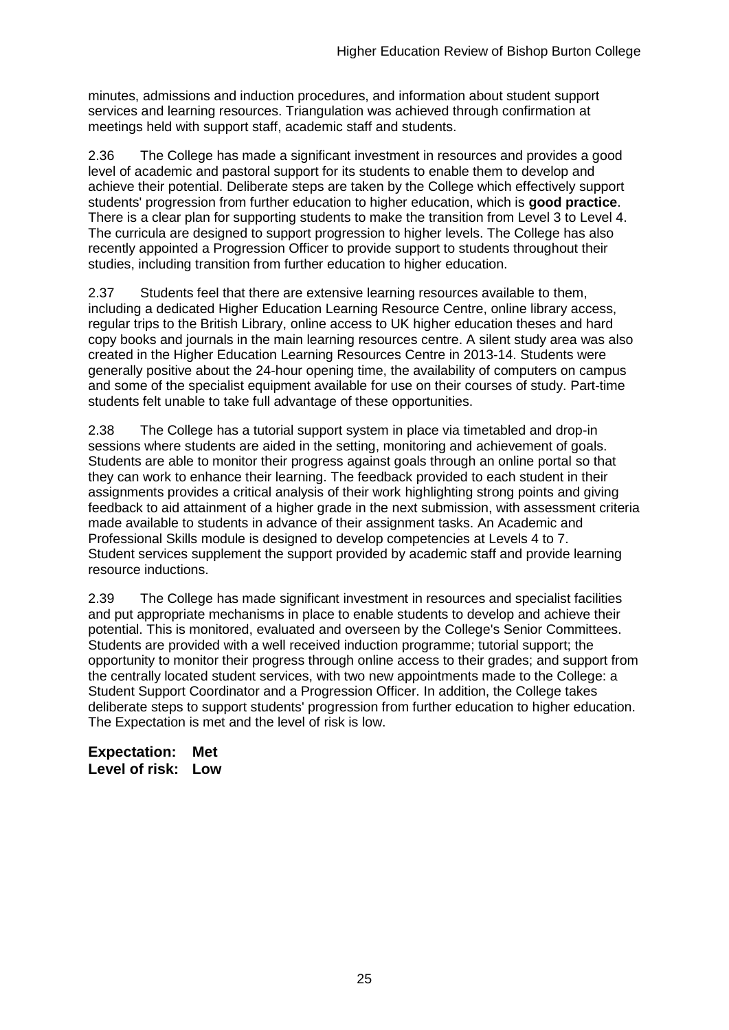minutes, admissions and induction procedures, and information about student support services and learning resources. Triangulation was achieved through confirmation at meetings held with support staff, academic staff and students.

2.36 The College has made a significant investment in resources and provides a good level of academic and pastoral support for its students to enable them to develop and achieve their potential. Deliberate steps are taken by the College which effectively support students' progression from further education to higher education, which is **good practice**. There is a clear plan for supporting students to make the transition from Level 3 to Level 4. The curricula are designed to support progression to higher levels. The College has also recently appointed a Progression Officer to provide support to students throughout their studies, including transition from further education to higher education.

2.37 Students feel that there are extensive learning resources available to them, including a dedicated Higher Education Learning Resource Centre, online library access, regular trips to the British Library, online access to UK higher education theses and hard copy books and journals in the main learning resources centre. A silent study area was also created in the Higher Education Learning Resources Centre in 2013-14. Students were generally positive about the 24-hour opening time, the availability of computers on campus and some of the specialist equipment available for use on their courses of study. Part-time students felt unable to take full advantage of these opportunities.

2.38 The College has a tutorial support system in place via timetabled and drop-in sessions where students are aided in the setting, monitoring and achievement of goals. Students are able to monitor their progress against goals through an online portal so that they can work to enhance their learning. The feedback provided to each student in their assignments provides a critical analysis of their work highlighting strong points and giving feedback to aid attainment of a higher grade in the next submission, with assessment criteria made available to students in advance of their assignment tasks. An Academic and Professional Skills module is designed to develop competencies at Levels 4 to 7. Student services supplement the support provided by academic staff and provide learning resource inductions.

2.39 The College has made significant investment in resources and specialist facilities and put appropriate mechanisms in place to enable students to develop and achieve their potential. This is monitored, evaluated and overseen by the College's Senior Committees. Students are provided with a well received induction programme; tutorial support; the opportunity to monitor their progress through online access to their grades; and support from the centrally located student services, with two new appointments made to the College: a Student Support Coordinator and a Progression Officer. In addition, the College takes deliberate steps to support students' progression from further education to higher education. The Expectation is met and the level of risk is low.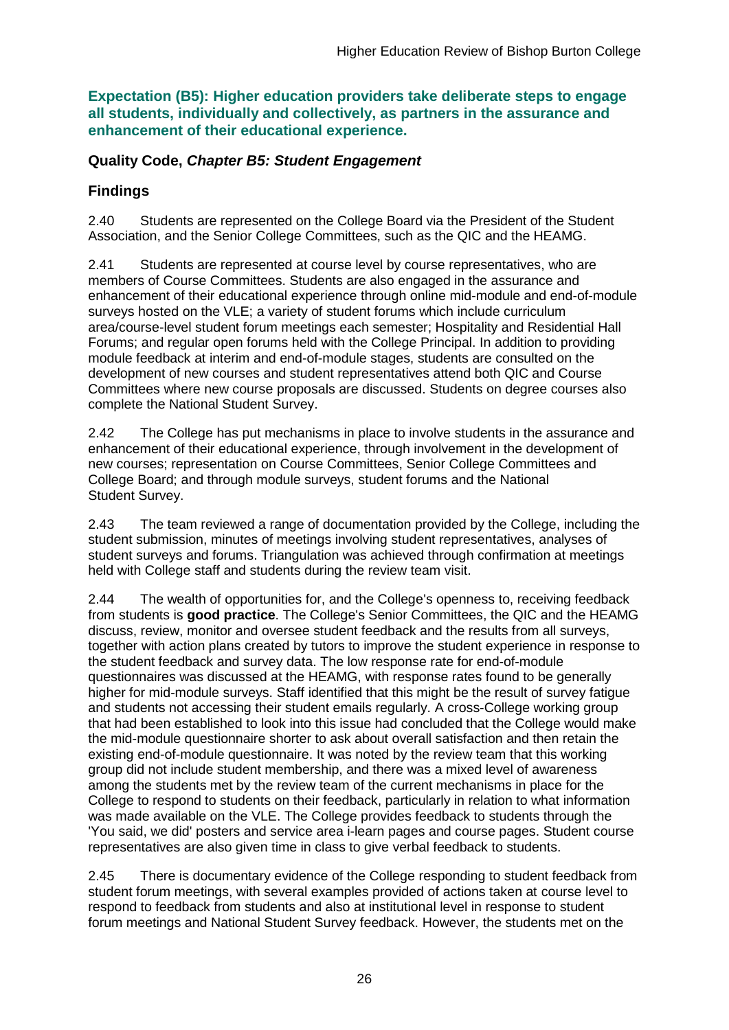**Expectation (B5): Higher education providers take deliberate steps to engage all students, individually and collectively, as partners in the assurance and enhancement of their educational experience.**

### **Quality Code,** *Chapter B5: Student Engagement*

## **Findings**

2.40 Students are represented on the College Board via the President of the Student Association, and the Senior College Committees, such as the QIC and the HEAMG.

2.41 Students are represented at course level by course representatives, who are members of Course Committees. Students are also engaged in the assurance and enhancement of their educational experience through online mid-module and end-of-module surveys hosted on the VLE; a variety of student forums which include curriculum area/course-level student forum meetings each semester; Hospitality and Residential Hall Forums; and regular open forums held with the College Principal. In addition to providing module feedback at interim and end-of-module stages, students are consulted on the development of new courses and student representatives attend both QIC and Course Committees where new course proposals are discussed. Students on degree courses also complete the National Student Survey.

2.42 The College has put mechanisms in place to involve students in the assurance and enhancement of their educational experience, through involvement in the development of new courses; representation on Course Committees, Senior College Committees and College Board; and through module surveys, student forums and the National Student Survey.

2.43 The team reviewed a range of documentation provided by the College, including the student submission, minutes of meetings involving student representatives, analyses of student surveys and forums. Triangulation was achieved through confirmation at meetings held with College staff and students during the review team visit.

2.44 The wealth of opportunities for, and the College's openness to, receiving feedback from students is **good practice**. The College's Senior Committees, the QIC and the HEAMG discuss, review, monitor and oversee student feedback and the results from all surveys, together with action plans created by tutors to improve the student experience in response to the student feedback and survey data. The low response rate for end-of-module questionnaires was discussed at the HEAMG, with response rates found to be generally higher for mid-module surveys. Staff identified that this might be the result of survey fatigue and students not accessing their student emails regularly. A cross-College working group that had been established to look into this issue had concluded that the College would make the mid-module questionnaire shorter to ask about overall satisfaction and then retain the existing end-of-module questionnaire. It was noted by the review team that this working group did not include student membership, and there was a mixed level of awareness among the students met by the review team of the current mechanisms in place for the College to respond to students on their feedback, particularly in relation to what information was made available on the VLE. The College provides feedback to students through the 'You said, we did' posters and service area i-learn pages and course pages. Student course representatives are also given time in class to give verbal feedback to students.

2.45 There is documentary evidence of the College responding to student feedback from student forum meetings, with several examples provided of actions taken at course level to respond to feedback from students and also at institutional level in response to student forum meetings and National Student Survey feedback. However, the students met on the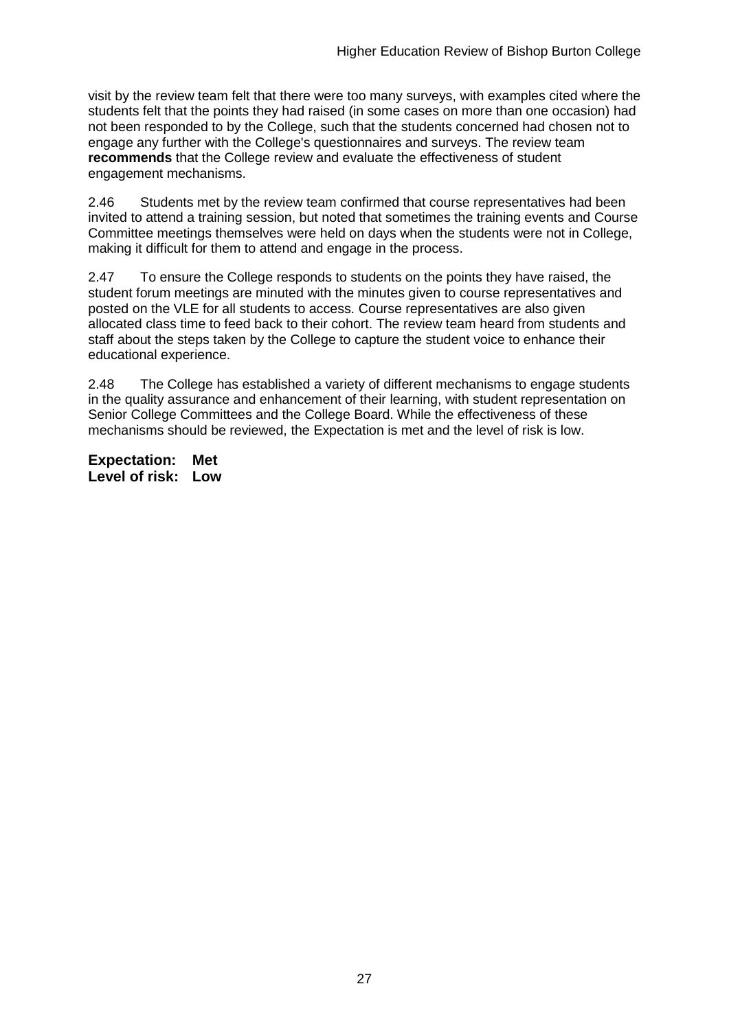visit by the review team felt that there were too many surveys, with examples cited where the students felt that the points they had raised (in some cases on more than one occasion) had not been responded to by the College, such that the students concerned had chosen not to engage any further with the College's questionnaires and surveys. The review team **recommends** that the College review and evaluate the effectiveness of student engagement mechanisms.

2.46 Students met by the review team confirmed that course representatives had been invited to attend a training session, but noted that sometimes the training events and Course Committee meetings themselves were held on days when the students were not in College, making it difficult for them to attend and engage in the process.

2.47 To ensure the College responds to students on the points they have raised, the student forum meetings are minuted with the minutes given to course representatives and posted on the VLE for all students to access. Course representatives are also given allocated class time to feed back to their cohort. The review team heard from students and staff about the steps taken by the College to capture the student voice to enhance their educational experience.

2.48 The College has established a variety of different mechanisms to engage students in the quality assurance and enhancement of their learning, with student representation on Senior College Committees and the College Board. While the effectiveness of these mechanisms should be reviewed, the Expectation is met and the level of risk is low.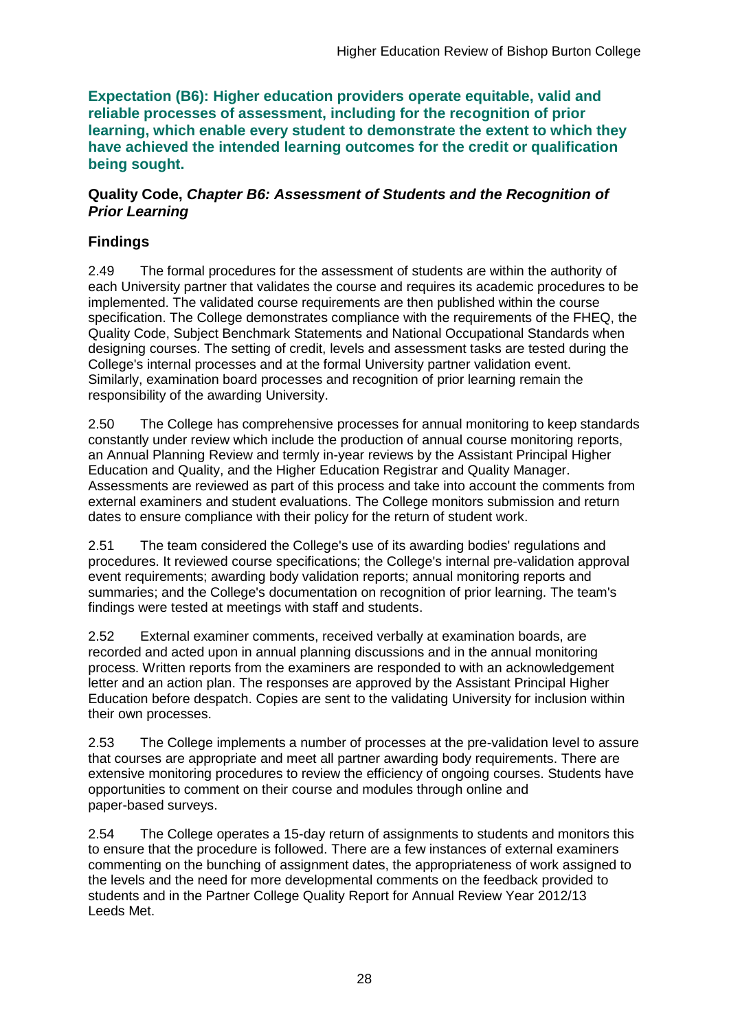**Expectation (B6): Higher education providers operate equitable, valid and reliable processes of assessment, including for the recognition of prior learning, which enable every student to demonstrate the extent to which they have achieved the intended learning outcomes for the credit or qualification being sought.**

### **Quality Code,** *Chapter B6: Assessment of Students and the Recognition of Prior Learning*

## **Findings**

2.49 The formal procedures for the assessment of students are within the authority of each University partner that validates the course and requires its academic procedures to be implemented. The validated course requirements are then published within the course specification. The College demonstrates compliance with the requirements of the FHEQ, the Quality Code, Subject Benchmark Statements and National Occupational Standards when designing courses. The setting of credit, levels and assessment tasks are tested during the College's internal processes and at the formal University partner validation event. Similarly, examination board processes and recognition of prior learning remain the responsibility of the awarding University.

2.50 The College has comprehensive processes for annual monitoring to keep standards constantly under review which include the production of annual course monitoring reports, an Annual Planning Review and termly in-year reviews by the Assistant Principal Higher Education and Quality, and the Higher Education Registrar and Quality Manager. Assessments are reviewed as part of this process and take into account the comments from external examiners and student evaluations. The College monitors submission and return dates to ensure compliance with their policy for the return of student work.

2.51 The team considered the College's use of its awarding bodies' regulations and procedures. It reviewed course specifications; the College's internal pre-validation approval event requirements; awarding body validation reports; annual monitoring reports and summaries; and the College's documentation on recognition of prior learning. The team's findings were tested at meetings with staff and students.

2.52 External examiner comments, received verbally at examination boards, are recorded and acted upon in annual planning discussions and in the annual monitoring process. Written reports from the examiners are responded to with an acknowledgement letter and an action plan. The responses are approved by the Assistant Principal Higher Education before despatch. Copies are sent to the validating University for inclusion within their own processes.

2.53 The College implements a number of processes at the pre-validation level to assure that courses are appropriate and meet all partner awarding body requirements. There are extensive monitoring procedures to review the efficiency of ongoing courses. Students have opportunities to comment on their course and modules through online and paper-based surveys.

2.54 The College operates a 15-day return of assignments to students and monitors this to ensure that the procedure is followed. There are a few instances of external examiners commenting on the bunching of assignment dates, the appropriateness of work assigned to the levels and the need for more developmental comments on the feedback provided to students and in the Partner College Quality Report for Annual Review Year 2012/13 Leeds Met.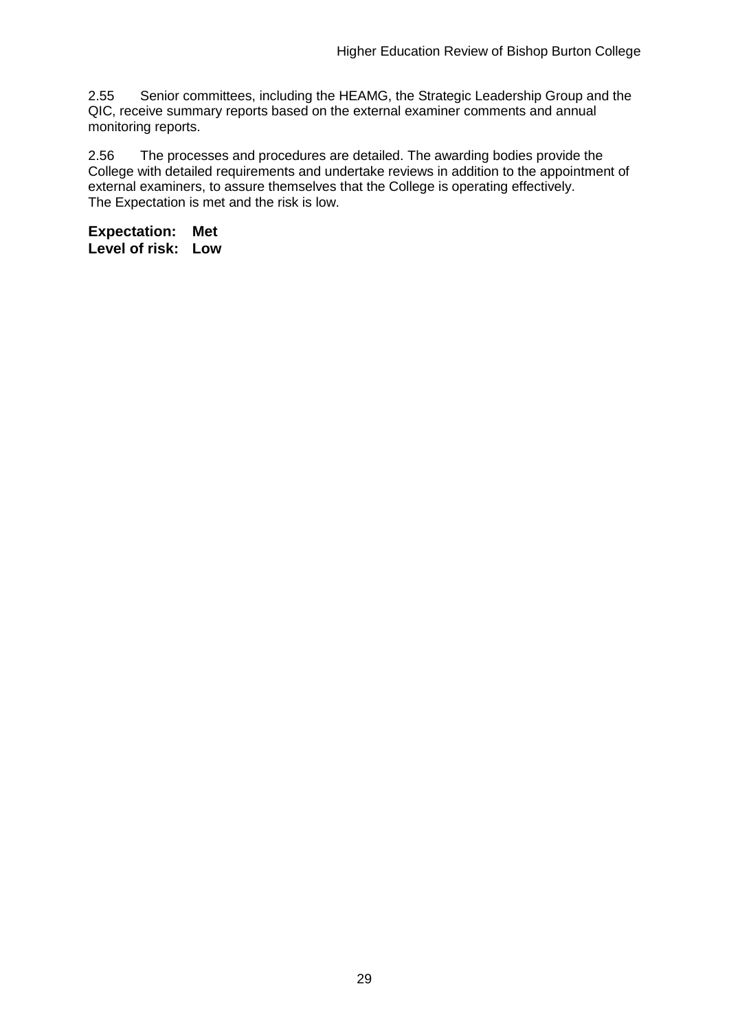2.55 Senior committees, including the HEAMG, the Strategic Leadership Group and the QIC, receive summary reports based on the external examiner comments and annual monitoring reports.

2.56 The processes and procedures are detailed. The awarding bodies provide the College with detailed requirements and undertake reviews in addition to the appointment of external examiners, to assure themselves that the College is operating effectively. The Expectation is met and the risk is low.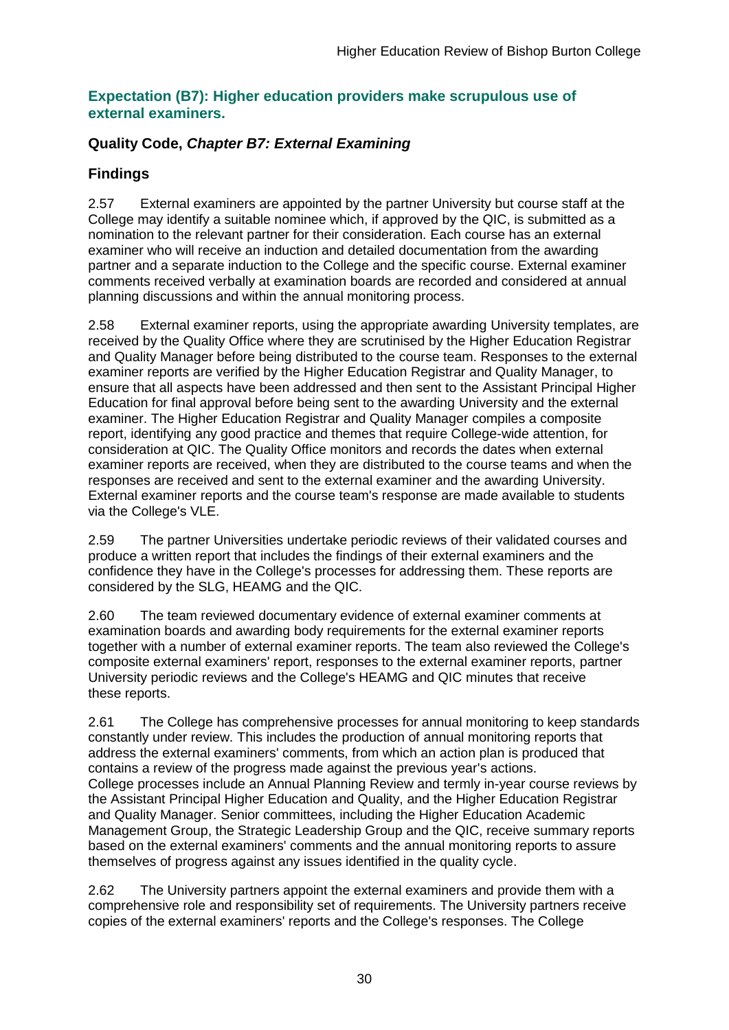### **Expectation (B7): Higher education providers make scrupulous use of external examiners.**

### **Quality Code,** *Chapter B7: External Examining*

### **Findings**

2.57 External examiners are appointed by the partner University but course staff at the College may identify a suitable nominee which, if approved by the QIC, is submitted as a nomination to the relevant partner for their consideration. Each course has an external examiner who will receive an induction and detailed documentation from the awarding partner and a separate induction to the College and the specific course. External examiner comments received verbally at examination boards are recorded and considered at annual planning discussions and within the annual monitoring process.

2.58 External examiner reports, using the appropriate awarding University templates, are received by the Quality Office where they are scrutinised by the Higher Education Registrar and Quality Manager before being distributed to the course team. Responses to the external examiner reports are verified by the Higher Education Registrar and Quality Manager, to ensure that all aspects have been addressed and then sent to the Assistant Principal Higher Education for final approval before being sent to the awarding University and the external examiner. The Higher Education Registrar and Quality Manager compiles a composite report, identifying any good practice and themes that require College-wide attention, for consideration at QIC. The Quality Office monitors and records the dates when external examiner reports are received, when they are distributed to the course teams and when the responses are received and sent to the external examiner and the awarding University. External examiner reports and the course team's response are made available to students via the College's VLE.

2.59 The partner Universities undertake periodic reviews of their validated courses and produce a written report that includes the findings of their external examiners and the confidence they have in the College's processes for addressing them. These reports are considered by the SLG, HEAMG and the QIC.

2.60 The team reviewed documentary evidence of external examiner comments at examination boards and awarding body requirements for the external examiner reports together with a number of external examiner reports. The team also reviewed the College's composite external examiners' report, responses to the external examiner reports, partner University periodic reviews and the College's HEAMG and QIC minutes that receive these reports.

2.61 The College has comprehensive processes for annual monitoring to keep standards constantly under review. This includes the production of annual monitoring reports that address the external examiners' comments, from which an action plan is produced that contains a review of the progress made against the previous year's actions. College processes include an Annual Planning Review and termly in-year course reviews by the Assistant Principal Higher Education and Quality, and the Higher Education Registrar and Quality Manager. Senior committees, including the Higher Education Academic Management Group, the Strategic Leadership Group and the QIC, receive summary reports based on the external examiners' comments and the annual monitoring reports to assure themselves of progress against any issues identified in the quality cycle.

2.62 The University partners appoint the external examiners and provide them with a comprehensive role and responsibility set of requirements. The University partners receive copies of the external examiners' reports and the College's responses. The College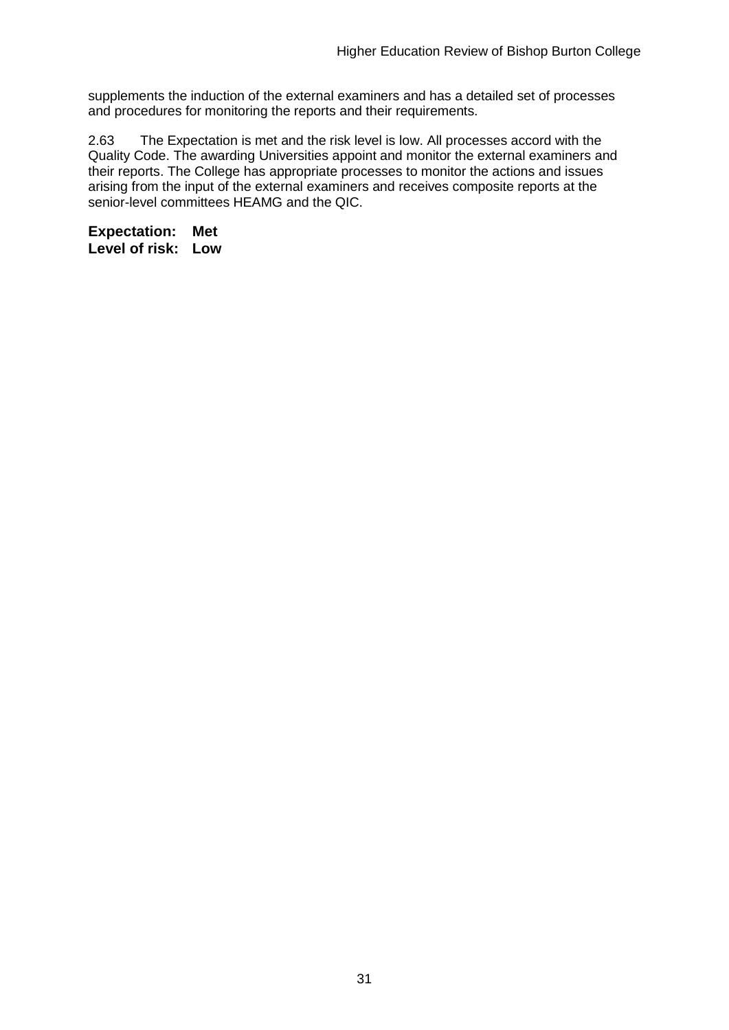supplements the induction of the external examiners and has a detailed set of processes and procedures for monitoring the reports and their requirements.

2.63 The Expectation is met and the risk level is low. All processes accord with the Quality Code. The awarding Universities appoint and monitor the external examiners and their reports. The College has appropriate processes to monitor the actions and issues arising from the input of the external examiners and receives composite reports at the senior-level committees HEAMG and the QIC.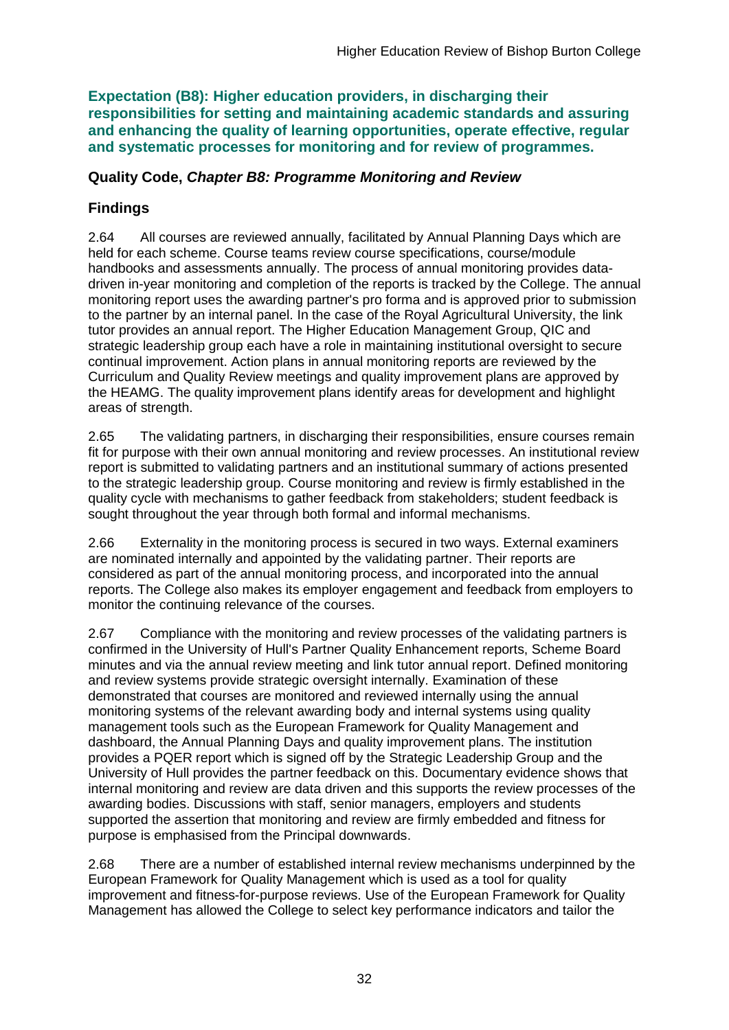**Expectation (B8): Higher education providers, in discharging their responsibilities for setting and maintaining academic standards and assuring and enhancing the quality of learning opportunities, operate effective, regular and systematic processes for monitoring and for review of programmes.**

### **Quality Code,** *Chapter B8: Programme Monitoring and Review*

## **Findings**

2.64 All courses are reviewed annually, facilitated by Annual Planning Days which are held for each scheme. Course teams review course specifications, course/module handbooks and assessments annually. The process of annual monitoring provides datadriven in-year monitoring and completion of the reports is tracked by the College. The annual monitoring report uses the awarding partner's pro forma and is approved prior to submission to the partner by an internal panel. In the case of the Royal Agricultural University, the link tutor provides an annual report. The Higher Education Management Group, QIC and strategic leadership group each have a role in maintaining institutional oversight to secure continual improvement. Action plans in annual monitoring reports are reviewed by the Curriculum and Quality Review meetings and quality improvement plans are approved by the HEAMG. The quality improvement plans identify areas for development and highlight areas of strength.

2.65 The validating partners, in discharging their responsibilities, ensure courses remain fit for purpose with their own annual monitoring and review processes. An institutional review report is submitted to validating partners and an institutional summary of actions presented to the strategic leadership group. Course monitoring and review is firmly established in the quality cycle with mechanisms to gather feedback from stakeholders; student feedback is sought throughout the year through both formal and informal mechanisms.

2.66 Externality in the monitoring process is secured in two ways. External examiners are nominated internally and appointed by the validating partner. Their reports are considered as part of the annual monitoring process, and incorporated into the annual reports. The College also makes its employer engagement and feedback from employers to monitor the continuing relevance of the courses.

2.67 Compliance with the monitoring and review processes of the validating partners is confirmed in the University of Hull's Partner Quality Enhancement reports, Scheme Board minutes and via the annual review meeting and link tutor annual report. Defined monitoring and review systems provide strategic oversight internally. Examination of these demonstrated that courses are monitored and reviewed internally using the annual monitoring systems of the relevant awarding body and internal systems using quality management tools such as the European Framework for Quality Management and dashboard, the Annual Planning Days and quality improvement plans. The institution provides a PQER report which is signed off by the Strategic Leadership Group and the University of Hull provides the partner feedback on this. Documentary evidence shows that internal monitoring and review are data driven and this supports the review processes of the awarding bodies. Discussions with staff, senior managers, employers and students supported the assertion that monitoring and review are firmly embedded and fitness for purpose is emphasised from the Principal downwards.

2.68 There are a number of established internal review mechanisms underpinned by the European Framework for Quality Management which is used as a tool for quality improvement and fitness-for-purpose reviews. Use of the European Framework for Quality Management has allowed the College to select key performance indicators and tailor the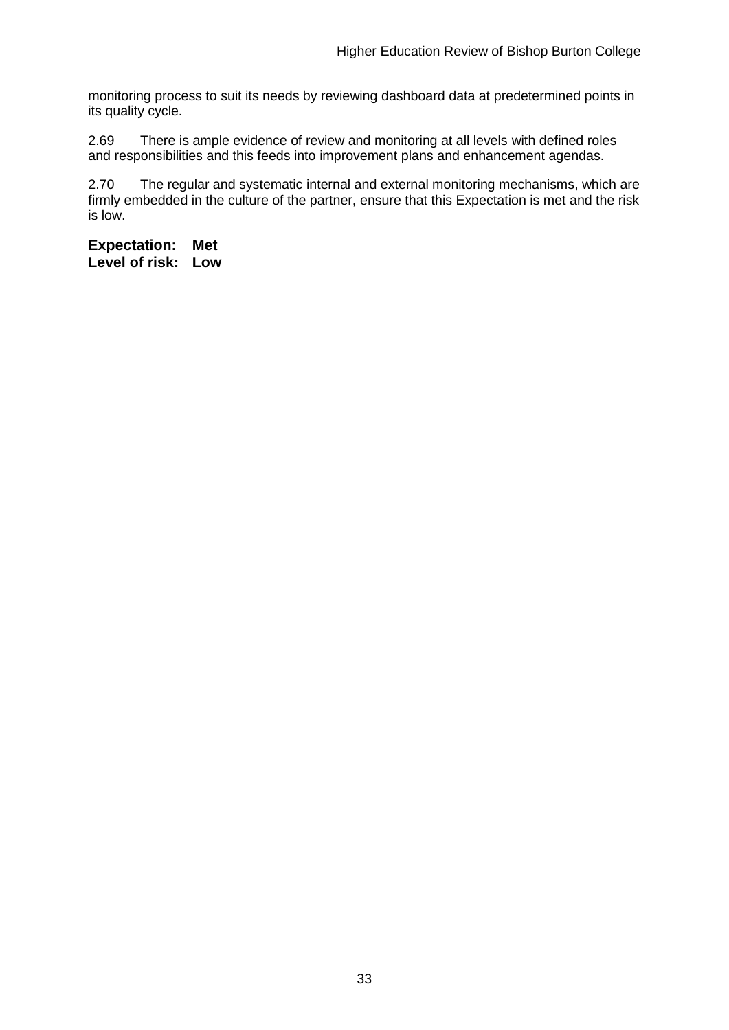monitoring process to suit its needs by reviewing dashboard data at predetermined points in its quality cycle.

2.69 There is ample evidence of review and monitoring at all levels with defined roles and responsibilities and this feeds into improvement plans and enhancement agendas.

2.70 The regular and systematic internal and external monitoring mechanisms, which are firmly embedded in the culture of the partner, ensure that this Expectation is met and the risk is low.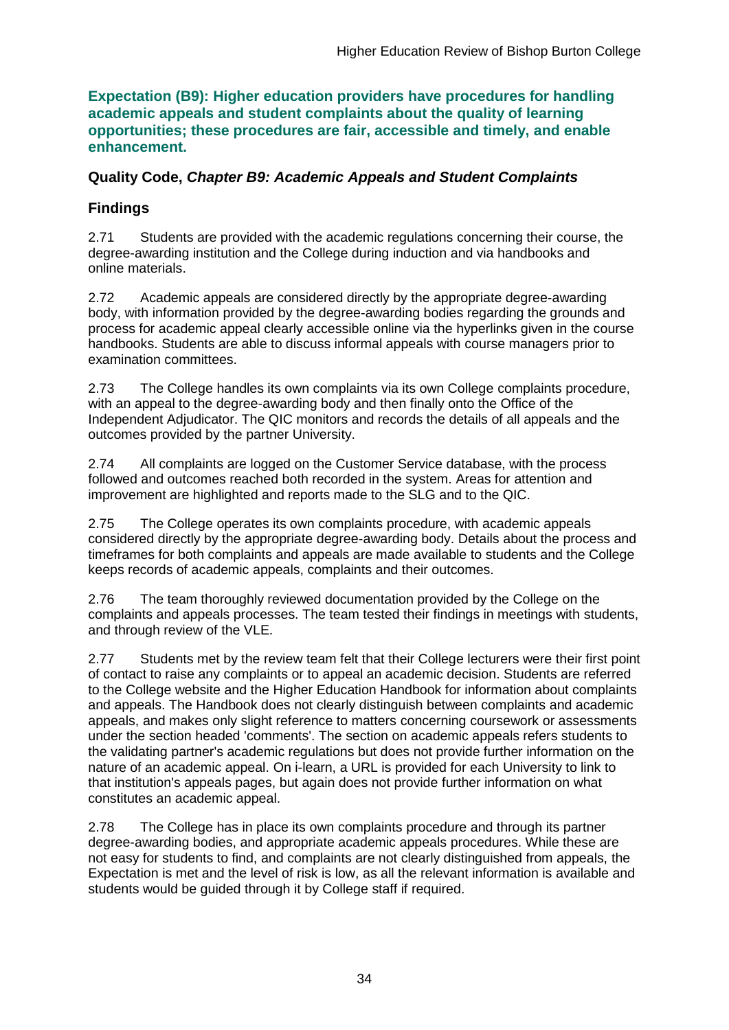**Expectation (B9): Higher education providers have procedures for handling academic appeals and student complaints about the quality of learning opportunities; these procedures are fair, accessible and timely, and enable enhancement.** 

### **Quality Code,** *Chapter B9: Academic Appeals and Student Complaints*

## **Findings**

2.71 Students are provided with the academic regulations concerning their course, the degree-awarding institution and the College during induction and via handbooks and online materials.

2.72 Academic appeals are considered directly by the appropriate degree-awarding body, with information provided by the degree-awarding bodies regarding the grounds and process for academic appeal clearly accessible online via the hyperlinks given in the course handbooks. Students are able to discuss informal appeals with course managers prior to examination committees.

2.73 The College handles its own complaints via its own College complaints procedure, with an appeal to the degree-awarding body and then finally onto the Office of the Independent Adjudicator. The QIC monitors and records the details of all appeals and the outcomes provided by the partner University.

2.74 All complaints are logged on the Customer Service database, with the process followed and outcomes reached both recorded in the system. Areas for attention and improvement are highlighted and reports made to the SLG and to the QIC.

2.75 The College operates its own complaints procedure, with academic appeals considered directly by the appropriate degree-awarding body. Details about the process and timeframes for both complaints and appeals are made available to students and the College keeps records of academic appeals, complaints and their outcomes.

2.76 The team thoroughly reviewed documentation provided by the College on the complaints and appeals processes. The team tested their findings in meetings with students, and through review of the VLE.

2.77 Students met by the review team felt that their College lecturers were their first point of contact to raise any complaints or to appeal an academic decision. Students are referred to the College website and the Higher Education Handbook for information about complaints and appeals. The Handbook does not clearly distinguish between complaints and academic appeals, and makes only slight reference to matters concerning coursework or assessments under the section headed 'comments'. The section on academic appeals refers students to the validating partner's academic regulations but does not provide further information on the nature of an academic appeal. On i-learn, a URL is provided for each University to link to that institution's appeals pages, but again does not provide further information on what constitutes an academic appeal.

2.78 The College has in place its own complaints procedure and through its partner degree-awarding bodies, and appropriate academic appeals procedures. While these are not easy for students to find, and complaints are not clearly distinguished from appeals, the Expectation is met and the level of risk is low, as all the relevant information is available and students would be guided through it by College staff if required.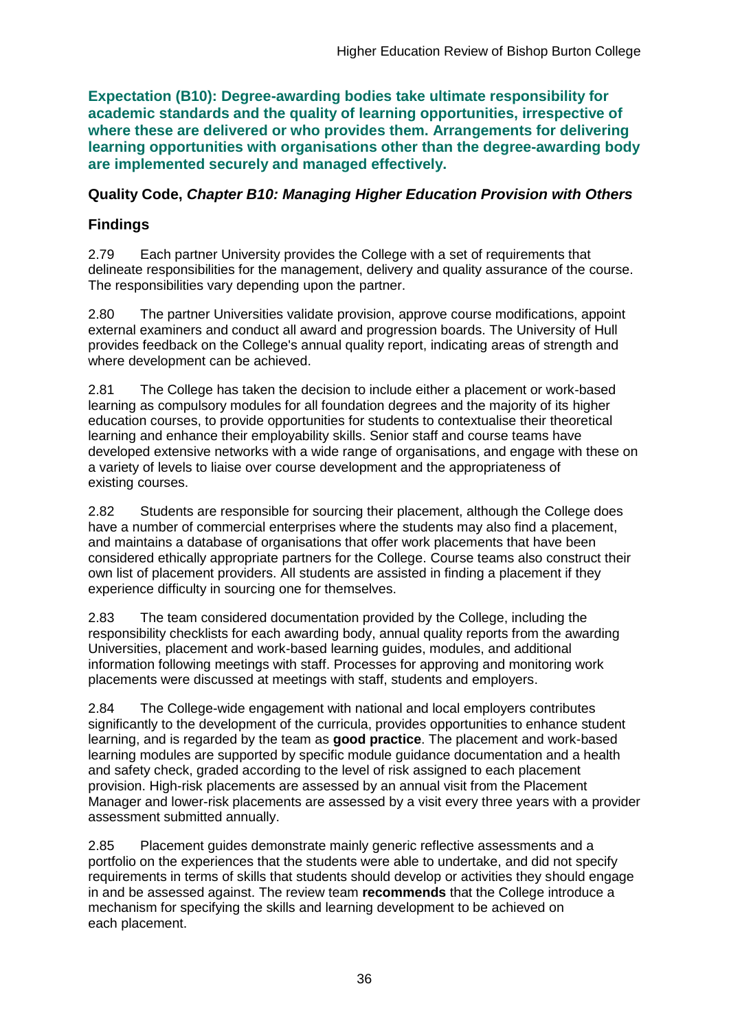**Expectation (B10): Degree-awarding bodies take ultimate responsibility for academic standards and the quality of learning opportunities, irrespective of where these are delivered or who provides them. Arrangements for delivering learning opportunities with organisations other than the degree-awarding body are implemented securely and managed effectively.**

### **Quality Code,** *Chapter B10: Managing Higher Education Provision with Others*

## **Findings**

2.79 Each partner University provides the College with a set of requirements that delineate responsibilities for the management, delivery and quality assurance of the course. The responsibilities vary depending upon the partner.

2.80 The partner Universities validate provision, approve course modifications, appoint external examiners and conduct all award and progression boards. The University of Hull provides feedback on the College's annual quality report, indicating areas of strength and where development can be achieved.

2.81 The College has taken the decision to include either a placement or work-based learning as compulsory modules for all foundation degrees and the majority of its higher education courses, to provide opportunities for students to contextualise their theoretical learning and enhance their employability skills. Senior staff and course teams have developed extensive networks with a wide range of organisations, and engage with these on a variety of levels to liaise over course development and the appropriateness of existing courses.

2.82 Students are responsible for sourcing their placement, although the College does have a number of commercial enterprises where the students may also find a placement, and maintains a database of organisations that offer work placements that have been considered ethically appropriate partners for the College. Course teams also construct their own list of placement providers. All students are assisted in finding a placement if they experience difficulty in sourcing one for themselves.

2.83 The team considered documentation provided by the College, including the responsibility checklists for each awarding body, annual quality reports from the awarding Universities, placement and work-based learning guides, modules, and additional information following meetings with staff. Processes for approving and monitoring work placements were discussed at meetings with staff, students and employers.

2.84 The College-wide engagement with national and local employers contributes significantly to the development of the curricula, provides opportunities to enhance student learning, and is regarded by the team as **good practice**. The placement and work-based learning modules are supported by specific module guidance documentation and a health and safety check, graded according to the level of risk assigned to each placement provision. High-risk placements are assessed by an annual visit from the Placement Manager and lower-risk placements are assessed by a visit every three years with a provider assessment submitted annually.

2.85 Placement guides demonstrate mainly generic reflective assessments and a portfolio on the experiences that the students were able to undertake, and did not specify requirements in terms of skills that students should develop or activities they should engage in and be assessed against. The review team **recommends** that the College introduce a mechanism for specifying the skills and learning development to be achieved on each placement.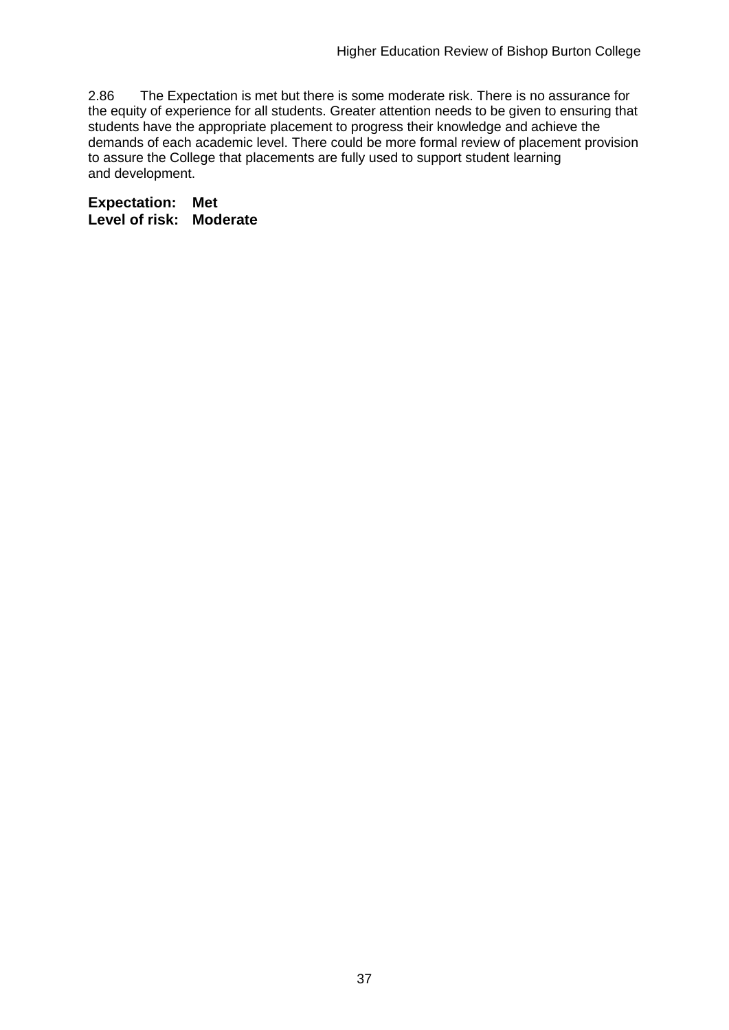2.86 The Expectation is met but there is some moderate risk. There is no assurance for the equity of experience for all students. Greater attention needs to be given to ensuring that students have the appropriate placement to progress their knowledge and achieve the demands of each academic level. There could be more formal review of placement provision to assure the College that placements are fully used to support student learning and development.

**Expectation: Met Level of risk: Moderate**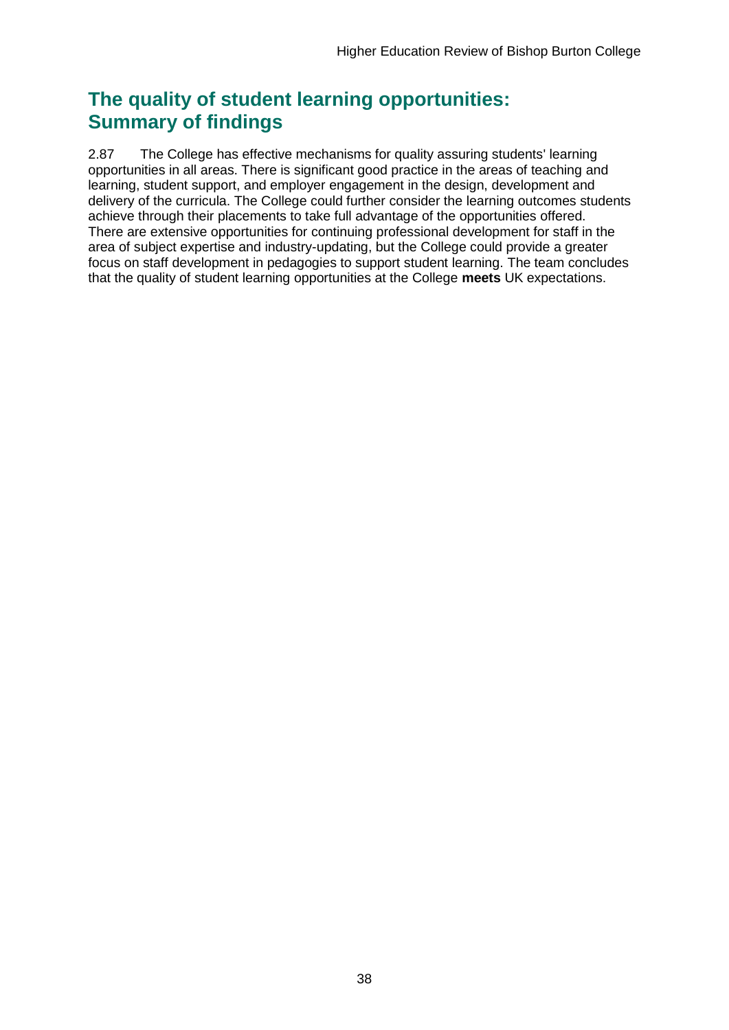## **The quality of student learning opportunities: Summary of findings**

2.87 The College has effective mechanisms for quality assuring students' learning opportunities in all areas. There is significant good practice in the areas of teaching and learning, student support, and employer engagement in the design, development and delivery of the curricula. The College could further consider the learning outcomes students achieve through their placements to take full advantage of the opportunities offered. There are extensive opportunities for continuing professional development for staff in the area of subject expertise and industry-updating, but the College could provide a greater focus on staff development in pedagogies to support student learning. The team concludes that the quality of student learning opportunities at the College **meets** UK expectations.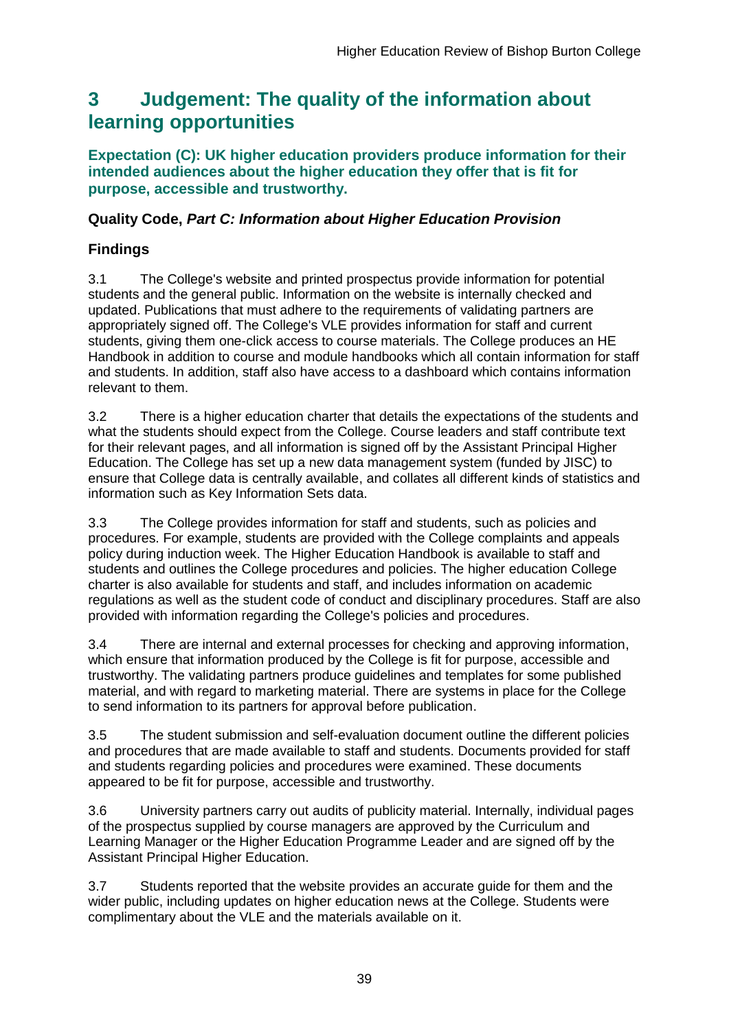## <span id="page-39-0"></span>**3 Judgement: The quality of the information about learning opportunities**

**Expectation (C): UK higher education providers produce information for their intended audiences about the higher education they offer that is fit for purpose, accessible and trustworthy.**

### **Quality Code,** *Part C: Information about Higher Education Provision*

### **Findings**

3.1 The College's website and printed prospectus provide information for potential students and the general public. Information on the website is internally checked and updated. Publications that must adhere to the requirements of validating partners are appropriately signed off. The College's VLE provides information for staff and current students, giving them one-click access to course materials. The College produces an HE Handbook in addition to course and module handbooks which all contain information for staff and students. In addition, staff also have access to a dashboard which contains information relevant to them.

3.2 There is a higher education charter that details the expectations of the students and what the students should expect from the College. Course leaders and staff contribute text for their relevant pages, and all information is signed off by the Assistant Principal Higher Education. The College has set up a new data management system (funded by JISC) to ensure that College data is centrally available, and collates all different kinds of statistics and information such as Key Information Sets data.

3.3 The College provides information for staff and students, such as policies and procedures. For example, students are provided with the College complaints and appeals policy during induction week. The Higher Education Handbook is available to staff and students and outlines the College procedures and policies. The higher education College charter is also available for students and staff, and includes information on academic regulations as well as the student code of conduct and disciplinary procedures. Staff are also provided with information regarding the College's policies and procedures.

3.4 There are internal and external processes for checking and approving information, which ensure that information produced by the College is fit for purpose, accessible and trustworthy. The validating partners produce guidelines and templates for some published material, and with regard to marketing material. There are systems in place for the College to send information to its partners for approval before publication.

3.5 The student submission and self-evaluation document outline the different policies and procedures that are made available to staff and students. Documents provided for staff and students regarding policies and procedures were examined. These documents appeared to be fit for purpose, accessible and trustworthy.

3.6 University partners carry out audits of publicity material. Internally, individual pages of the prospectus supplied by course managers are approved by the Curriculum and Learning Manager or the Higher Education Programme Leader and are signed off by the Assistant Principal Higher Education.

3.7 Students reported that the website provides an accurate guide for them and the wider public, including updates on higher education news at the College. Students were complimentary about the VLE and the materials available on it.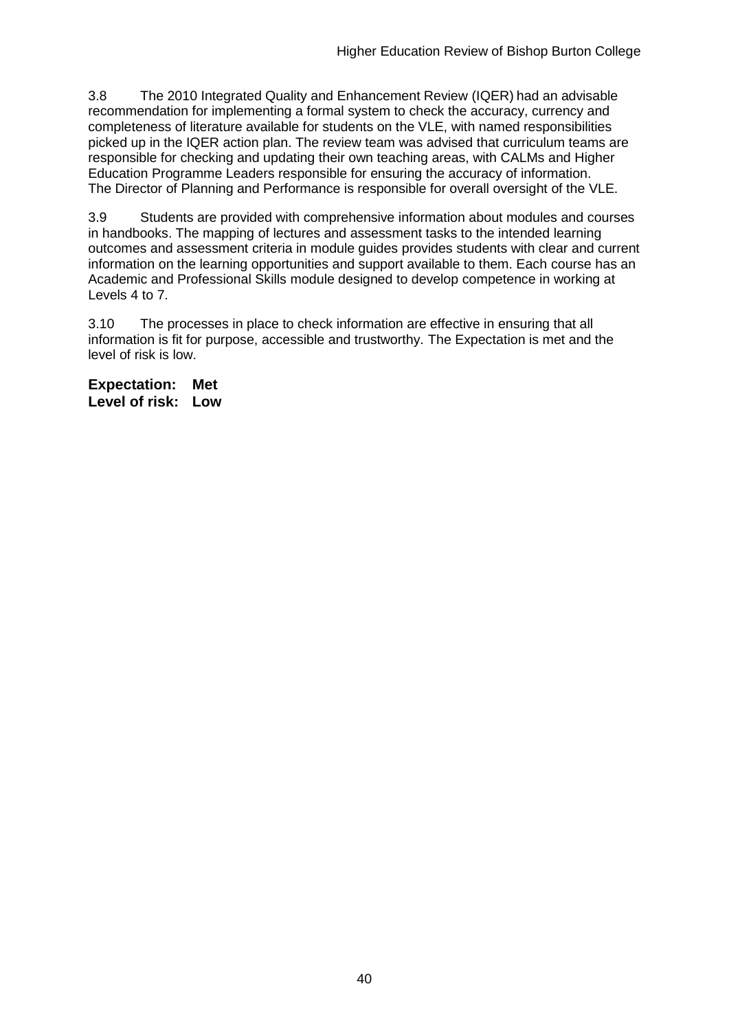3.8 The 2010 Integrated Quality and Enhancement Review (IQER) had an advisable recommendation for implementing a formal system to check the accuracy, currency and completeness of literature available for students on the VLE, with named responsibilities picked up in the IQER action plan. The review team was advised that curriculum teams are responsible for checking and updating their own teaching areas, with CALMs and Higher Education Programme Leaders responsible for ensuring the accuracy of information. The Director of Planning and Performance is responsible for overall oversight of the VLE.

3.9 Students are provided with comprehensive information about modules and courses in handbooks. The mapping of lectures and assessment tasks to the intended learning outcomes and assessment criteria in module guides provides students with clear and current information on the learning opportunities and support available to them. Each course has an Academic and Professional Skills module designed to develop competence in working at Levels 4 to 7.

3.10 The processes in place to check information are effective in ensuring that all information is fit for purpose, accessible and trustworthy. The Expectation is met and the level of risk is low.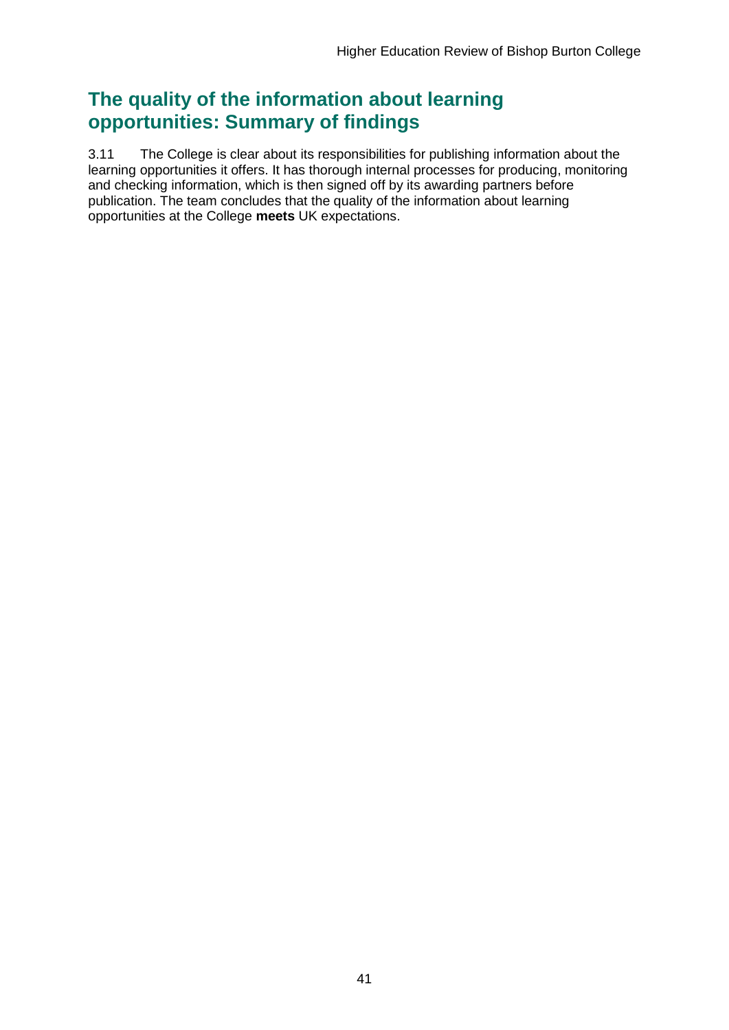## **The quality of the information about learning opportunities: Summary of findings**

3.11 The College is clear about its responsibilities for publishing information about the learning opportunities it offers. It has thorough internal processes for producing, monitoring and checking information, which is then signed off by its awarding partners before publication. The team concludes that the quality of the information about learning opportunities at the College **meets** UK expectations.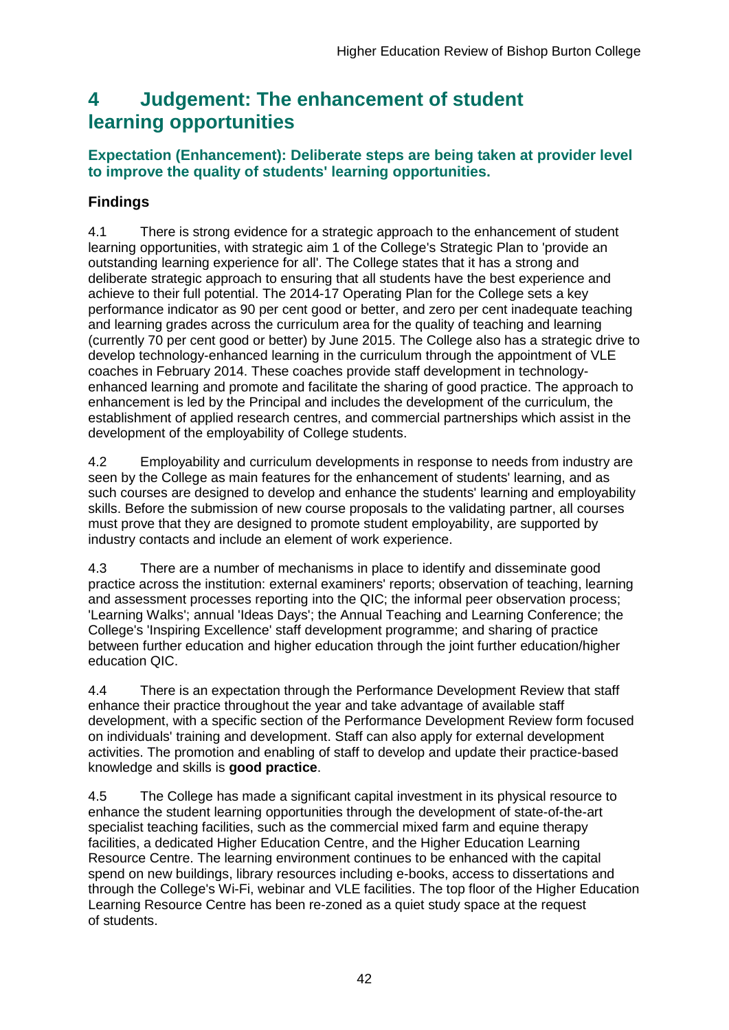## <span id="page-42-0"></span>**4 Judgement: The enhancement of student learning opportunities**

## **Expectation (Enhancement): Deliberate steps are being taken at provider level to improve the quality of students' learning opportunities.**

## **Findings**

4.1 There is strong evidence for a strategic approach to the enhancement of student learning opportunities, with strategic aim 1 of the College's Strategic Plan to 'provide an outstanding learning experience for all'. The College states that it has a strong and deliberate strategic approach to ensuring that all students have the best experience and achieve to their full potential. The 2014-17 Operating Plan for the College sets a key performance indicator as 90 per cent good or better, and zero per cent inadequate teaching and learning grades across the curriculum area for the quality of teaching and learning (currently 70 per cent good or better) by June 2015. The College also has a strategic drive to develop technology-enhanced learning in the curriculum through the appointment of VLE coaches in February 2014. These coaches provide staff development in technologyenhanced learning and promote and facilitate the sharing of good practice. The approach to enhancement is led by the Principal and includes the development of the curriculum, the establishment of applied research centres, and commercial partnerships which assist in the development of the employability of College students.

4.2 Employability and curriculum developments in response to needs from industry are seen by the College as main features for the enhancement of students' learning, and as such courses are designed to develop and enhance the students' learning and employability skills. Before the submission of new course proposals to the validating partner, all courses must prove that they are designed to promote student employability, are supported by industry contacts and include an element of work experience.

4.3 There are a number of mechanisms in place to identify and disseminate good practice across the institution: external examiners' reports; observation of teaching, learning and assessment processes reporting into the QIC; the informal peer observation process; 'Learning Walks'; annual 'Ideas Days'; the Annual Teaching and Learning Conference; the College's 'Inspiring Excellence' staff development programme; and sharing of practice between further education and higher education through the joint further education/higher education QIC.

4.4 There is an expectation through the Performance Development Review that staff enhance their practice throughout the year and take advantage of available staff development, with a specific section of the Performance Development Review form focused on individuals' training and development. Staff can also apply for external development activities. The promotion and enabling of staff to develop and update their practice-based knowledge and skills is **good practice**.

4.5 The College has made a significant capital investment in its physical resource to enhance the student learning opportunities through the development of state-of-the-art specialist teaching facilities, such as the commercial mixed farm and equine therapy facilities, a dedicated Higher Education Centre, and the Higher Education Learning Resource Centre. The learning environment continues to be enhanced with the capital spend on new buildings, library resources including e-books, access to dissertations and through the College's Wi-Fi, webinar and VLE facilities. The top floor of the Higher Education Learning Resource Centre has been re-zoned as a quiet study space at the request of students.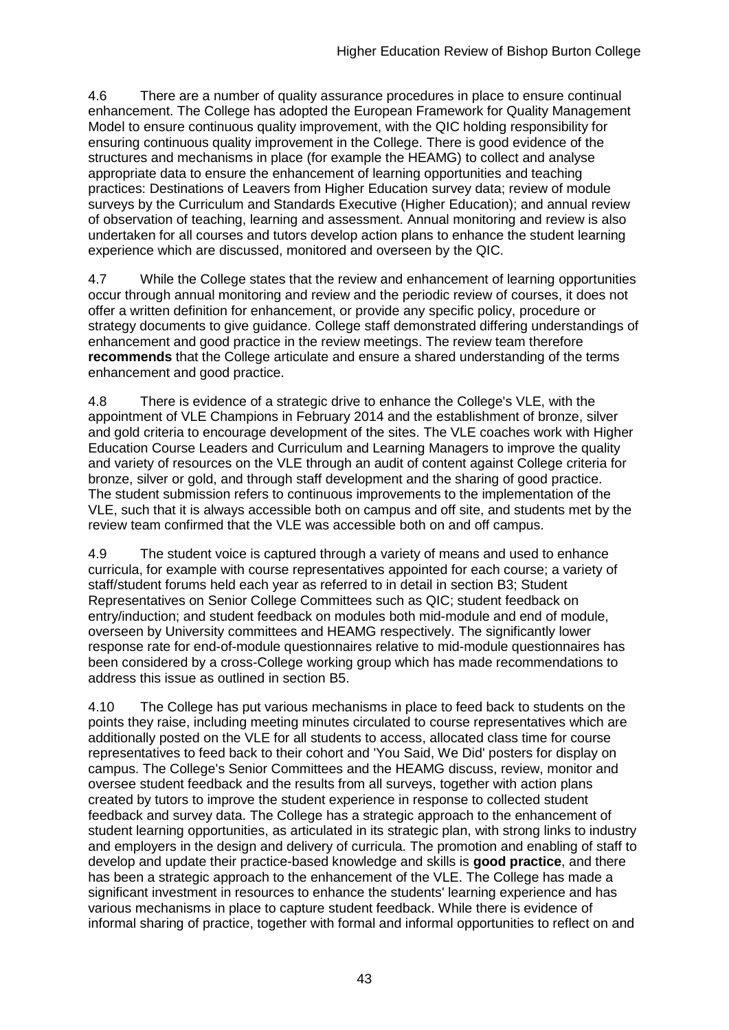4.6 There are a number of quality assurance procedures in place to ensure continual enhancement. The College has adopted the European Framework for Quality Management Model to ensure continuous quality improvement, with the QIC holding responsibility for ensuring continuous quality improvement in the College. There is good evidence of the structures and mechanisms in place (for example the HEAMG) to collect and analyse appropriate data to ensure the enhancement of learning opportunities and teaching practices: Destinations of Leavers from Higher Education survey data; review of module surveys by the Curriculum and Standards Executive (Higher Education); and annual review of observation of teaching, learning and assessment. Annual monitoring and review is also undertaken for all courses and tutors develop action plans to enhance the student learning experience which are discussed, monitored and overseen by the QIC.

4.7 While the College states that the review and enhancement of learning opportunities occur through annual monitoring and review and the periodic review of courses, it does not offer a written definition for enhancement, or provide any specific policy, procedure or strategy documents to give guidance. College staff demonstrated differing understandings of enhancement and good practice in the review meetings. The review team therefore **recommends** that the College articulate and ensure a shared understanding of the terms enhancement and good practice.

4.8 There is evidence of a strategic drive to enhance the College's VLE, with the appointment of VLE Champions in February 2014 and the establishment of bronze, silver and gold criteria to encourage development of the sites. The VLE coaches work with Higher Education Course Leaders and Curriculum and Learning Managers to improve the quality and variety of resources on the VLE through an audit of content against College criteria for bronze, silver or gold, and through staff development and the sharing of good practice. The student submission refers to continuous improvements to the implementation of the VLE, such that it is always accessible both on campus and off site, and students met by the review team confirmed that the VLE was accessible both on and off campus.

4.9 The student voice is captured through a variety of means and used to enhance curricula, for example with course representatives appointed for each course; a variety of staff/student forums held each year as referred to in detail in section B3; Student Representatives on Senior College Committees such as QIC; student feedback on entry/induction; and student feedback on modules both mid-module and end of module, overseen by University committees and HEAMG respectively. The significantly lower response rate for end-of-module questionnaires relative to mid-module questionnaires has been considered by a cross-College working group which has made recommendations to address this issue as outlined in section B5.

4.10 The College has put various mechanisms in place to feed back to students on the points they raise, including meeting minutes circulated to course representatives which are additionally posted on the VLE for all students to access, allocated class time for course representatives to feed back to their cohort and 'You Said, We Did' posters for display on campus. The College's Senior Committees and the HEAMG discuss, review, monitor and oversee student feedback and the results from all surveys, together with action plans created by tutors to improve the student experience in response to collected student feedback and survey data. The College has a strategic approach to the enhancement of student learning opportunities, as articulated in its strategic plan, with strong links to industry and employers in the design and delivery of curricula. The promotion and enabling of staff to develop and update their practice-based knowledge and skills is **good practice**, and there has been a strategic approach to the enhancement of the VLE. The College has made a significant investment in resources to enhance the students' learning experience and has various mechanisms in place to capture student feedback. While there is evidence of informal sharing of practice, together with formal and informal opportunities to reflect on and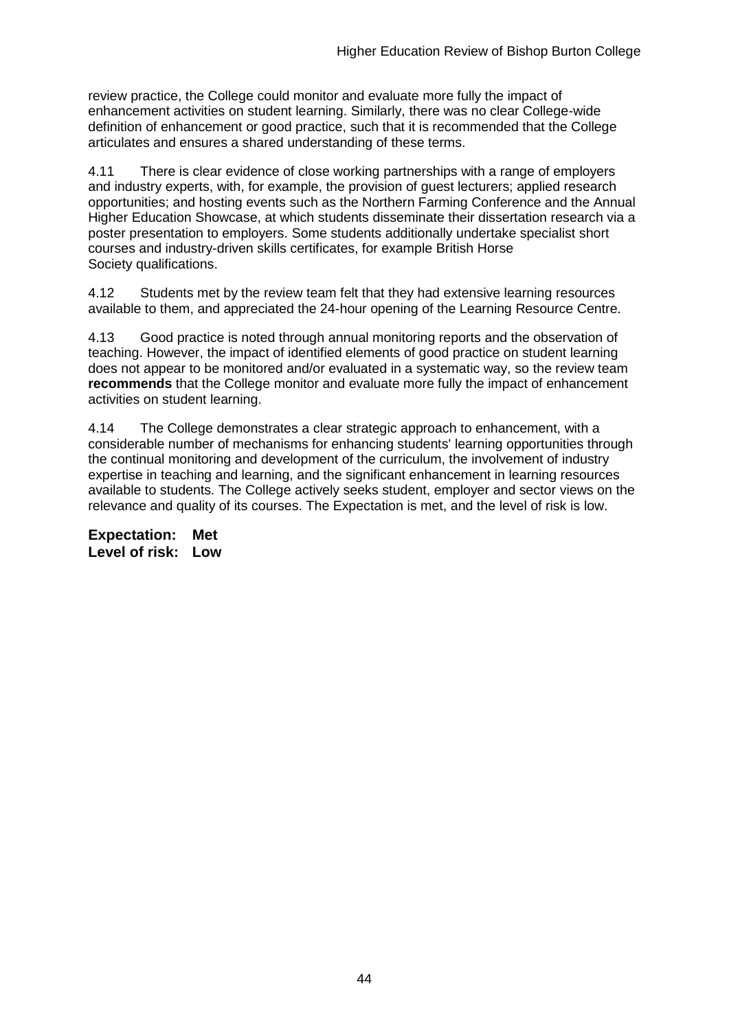review practice, the College could monitor and evaluate more fully the impact of enhancement activities on student learning. Similarly, there was no clear College-wide definition of enhancement or good practice, such that it is recommended that the College articulates and ensures a shared understanding of these terms.

4.11 There is clear evidence of close working partnerships with a range of employers and industry experts, with, for example, the provision of guest lecturers; applied research opportunities; and hosting events such as the Northern Farming Conference and the Annual Higher Education Showcase, at which students disseminate their dissertation research via a poster presentation to employers. Some students additionally undertake specialist short courses and industry-driven skills certificates, for example British Horse Society qualifications.

4.12 Students met by the review team felt that they had extensive learning resources available to them, and appreciated the 24-hour opening of the Learning Resource Centre.

4.13 Good practice is noted through annual monitoring reports and the observation of teaching. However, the impact of identified elements of good practice on student learning does not appear to be monitored and/or evaluated in a systematic way, so the review team **recommends** that the College monitor and evaluate more fully the impact of enhancement activities on student learning.

4.14 The College demonstrates a clear strategic approach to enhancement, with a considerable number of mechanisms for enhancing students' learning opportunities through the continual monitoring and development of the curriculum, the involvement of industry expertise in teaching and learning, and the significant enhancement in learning resources available to students. The College actively seeks student, employer and sector views on the relevance and quality of its courses. The Expectation is met, and the level of risk is low.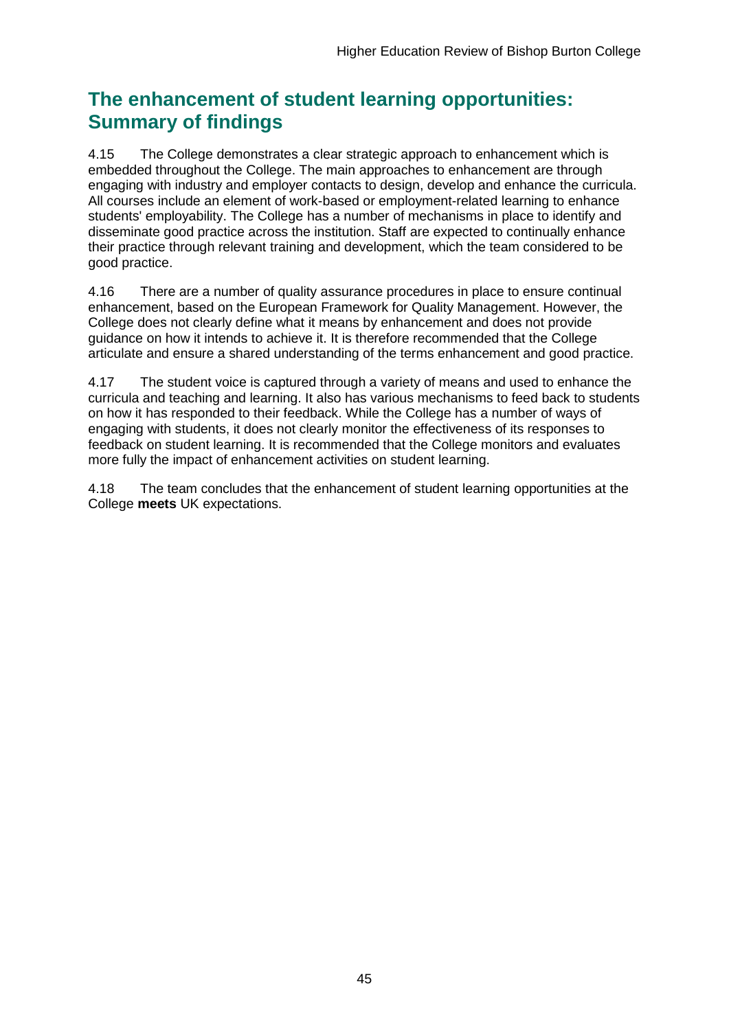## **The enhancement of student learning opportunities: Summary of findings**

4.15 The College demonstrates a clear strategic approach to enhancement which is embedded throughout the College. The main approaches to enhancement are through engaging with industry and employer contacts to design, develop and enhance the curricula. All courses include an element of work-based or employment-related learning to enhance students' employability. The College has a number of mechanisms in place to identify and disseminate good practice across the institution. Staff are expected to continually enhance their practice through relevant training and development, which the team considered to be good practice.

4.16 There are a number of quality assurance procedures in place to ensure continual enhancement, based on the European Framework for Quality Management. However, the College does not clearly define what it means by enhancement and does not provide guidance on how it intends to achieve it. It is therefore recommended that the College articulate and ensure a shared understanding of the terms enhancement and good practice.

4.17 The student voice is captured through a variety of means and used to enhance the curricula and teaching and learning. It also has various mechanisms to feed back to students on how it has responded to their feedback. While the College has a number of ways of engaging with students, it does not clearly monitor the effectiveness of its responses to feedback on student learning. It is recommended that the College monitors and evaluates more fully the impact of enhancement activities on student learning.

4.18 The team concludes that the enhancement of student learning opportunities at the College **meets** UK expectations.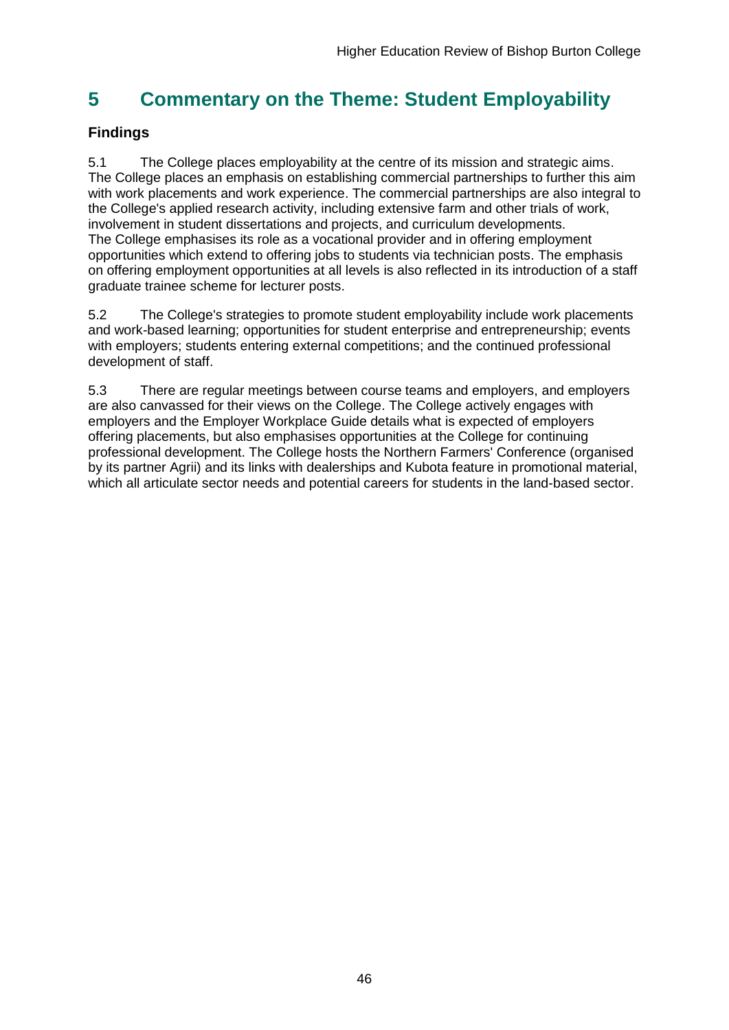## <span id="page-46-0"></span>**5 Commentary on the Theme: Student Employability**

## **Findings**

5.1 The College places employability at the centre of its mission and strategic aims. The College places an emphasis on establishing commercial partnerships to further this aim with work placements and work experience. The commercial partnerships are also integral to the College's applied research activity, including extensive farm and other trials of work, involvement in student dissertations and projects, and curriculum developments. The College emphasises its role as a vocational provider and in offering employment opportunities which extend to offering jobs to students via technician posts. The emphasis on offering employment opportunities at all levels is also reflected in its introduction of a staff graduate trainee scheme for lecturer posts.

5.2 The College's strategies to promote student employability include work placements and work-based learning; opportunities for student enterprise and entrepreneurship; events with employers; students entering external competitions; and the continued professional development of staff.

<span id="page-46-1"></span>5.3 There are regular meetings between course teams and employers, and employers are also canvassed for their views on the College. The College actively engages with employers and the Employer Workplace Guide details what is expected of employers offering placements, but also emphasises opportunities at the College for continuing professional development. The College hosts the Northern Farmers' Conference (organised by its partner Agrii) and its links with dealerships and Kubota feature in promotional material, which all articulate sector needs and potential careers for students in the land-based sector.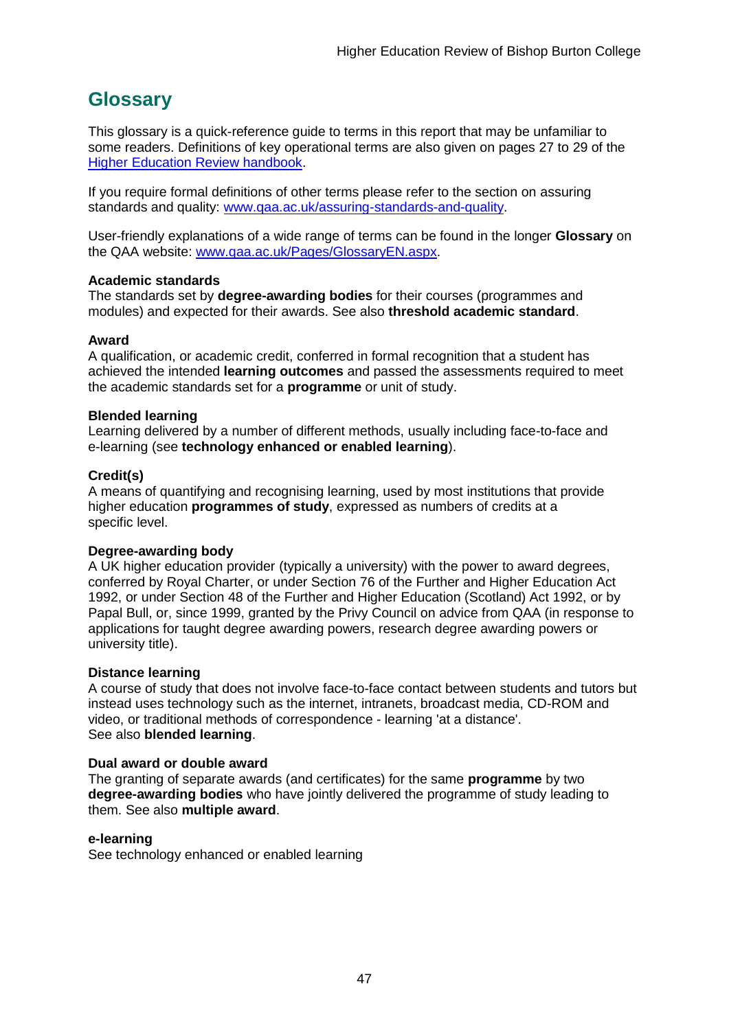## <span id="page-47-0"></span>**Glossary**

This glossary is a quick-reference guide to terms in this report that may be unfamiliar to some readers. Definitions of key operational terms are also given on pages 27 to 29 of the [Higher Education Review handbook.](http://www.qaa.ac.uk/en/Publications/Documents/HER-handbook-14.pdf)

If you require formal definitions of other terms please refer to the section on assuring standards and quality: [www.qaa.ac.uk/assuring-standards-and-quality.](http://www.qaa.ac.uk/assuring-standards-and-quality)

User-friendly explanations of a wide range of terms can be found in the longer **Glossary** on the QAA website: [www.qaa.ac.uk/Pages/GlossaryEN.aspx.](http://www.qaa.ac.uk/Pages/GlossaryEN.aspx)

### **Academic standards**

The standards set by **degree-awarding bodies** for their courses (programmes and modules) and expected for their awards. See also **threshold academic standard**.

### **Award**

A qualification, or academic credit, conferred in formal recognition that a student has achieved the intended **learning outcomes** and passed the assessments required to meet the academic standards set for a **programme** or unit of study.

### **Blended learning**

Learning delivered by a number of different methods, usually including face-to-face and e-learning (see **[technology enhanced or enabled learning](http://www.qaa.ac.uk/AboutUs/glossary/Pages/glossary-t.aspx#t1)**).

### **Credit(s)**

A means of quantifying and recognising learning, used by most institutions that provide higher education **programmes of study**, expressed as numbers of credits at a specific level.

### **Degree-awarding body**

A UK [higher education provider](http://newlive.qaa.ac.uk/AboutUs/glossary/Pages/glossary-h.aspx#h2.1) (typically a [university\)](http://newlive.qaa.ac.uk/AboutUs/glossary/Pages/glossary-u-z.aspx#u4) with the power to award degrees, conferred by Royal Charter, or under Section 76 of the Further and Higher Education Act 1992, or under Section 48 of the Further and Higher Education (Scotland) Act 1992, or by Papal Bull, or, since 1999, granted by the Privy Council on advice from QAA (in response to applications for [taught degree awarding powers, research degree awarding powers or](http://newlive.qaa.ac.uk/AboutUs/DAP/Pages/default.aspx)  [university title\)](http://newlive.qaa.ac.uk/AboutUs/DAP/Pages/default.aspx).

### **Distance learning**

A course of study that does not involve face-to-face contact between students and tutors but instead uses technology such as the internet, intranets, broadcast media, CD-ROM and video, or traditional methods of correspondence - learning 'at a distance'. See also **blended learning**.

### **Dual award or double award**

The granting of separate awards (and certificates) for the same **programme** by two **degree-awarding bodies** who have jointly delivered the programme of study leading to them. See also **multiple award**.

### **e-learning**

See technology enhanced or enabled learning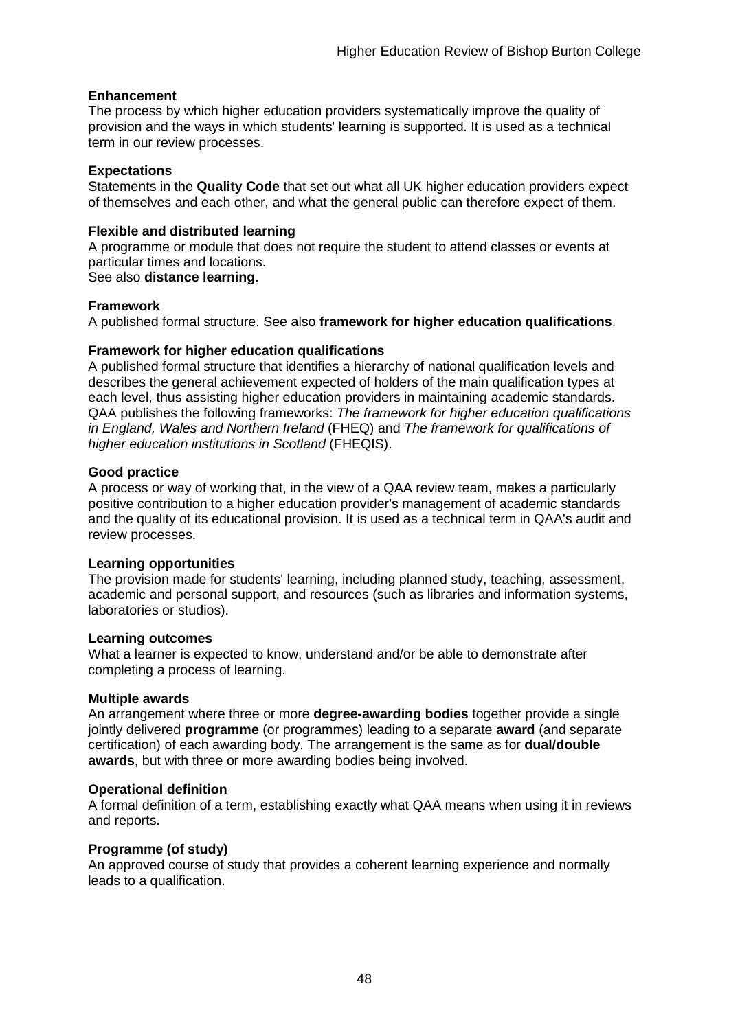### **Enhancement**

The process by which [higher education providers](http://www.qaa.ac.uk/AboutUs/glossary/Pages/glossary-h.aspx#h2.1) systematically improve the quality of provision and the ways in which students' learning is supported. It is used as a technical term in our review processes.

#### **Expectations**

Statements in the **Quality Code** that set out what all UK [higher education providers](http://newlive.qaa.ac.uk/AboutUs/glossary/Pages/glossary-h.aspx#h2.1) expect of themselves and each other, and what the general public can therefore expect of them.

### **Flexible and distributed learning**

A [programme](http://newlive.qaa.ac.uk/AboutUs/glossary/Pages/glossary-p.aspx#p12) or [module](http://newlive.qaa.ac.uk/AboutUs/glossary/Pages/glossary-m-o.aspx#m6) that does not require the student to attend classes or events at particular times and locations.

### See also **distance learning**.

### **Framework**

A published formal structure. See also **framework for higher education qualifications**.

### **Framework for higher education qualifications**

A published formal structure that identifies a hierarchy of national qualification levels and describes the general achievement expected of holders of the main qualification types at each level, thus assisting higher education providers in maintaining academic standards. QAA publishes the following frameworks: *The framework for higher education qualifications in England, Wales and Northern Ireland* (FHEQ) and *The framework for qualifications of higher education institutions in Scotland* (FHEQIS).

#### **Good practice**

A process or way of working that, in the view of a QAA review team, makes a particularly positive contribution to a higher education provider's management of academic standards and the quality of its educational provision. It is used as a technical term in QAA's audit and review processes.

### **Learning opportunities**

The provision made for students' learning, including planned study, teaching, assessment, academic and personal support, and resources (such as libraries and information systems, laboratories or studios).

#### **Learning outcomes**

What a learner is expected to know, understand and/or be able to demonstrate after completing a process of learning.

### **Multiple awards**

An arrangement where three or more **degree-awarding bodies** together provide a single jointly delivered **programme** (or programmes) leading to a separate **award** (and separate certification) of each awarding body. The arrangement is the same as for **dual/double awards**, but with three or more awarding bodies being involved.

### **Operational definition**

A formal definition of a term, establishing exactly what QAA means when using it in reviews and reports.

### **Programme (of study)**

An approved course of study that provides a coherent learning experience and normally leads to a qualification.